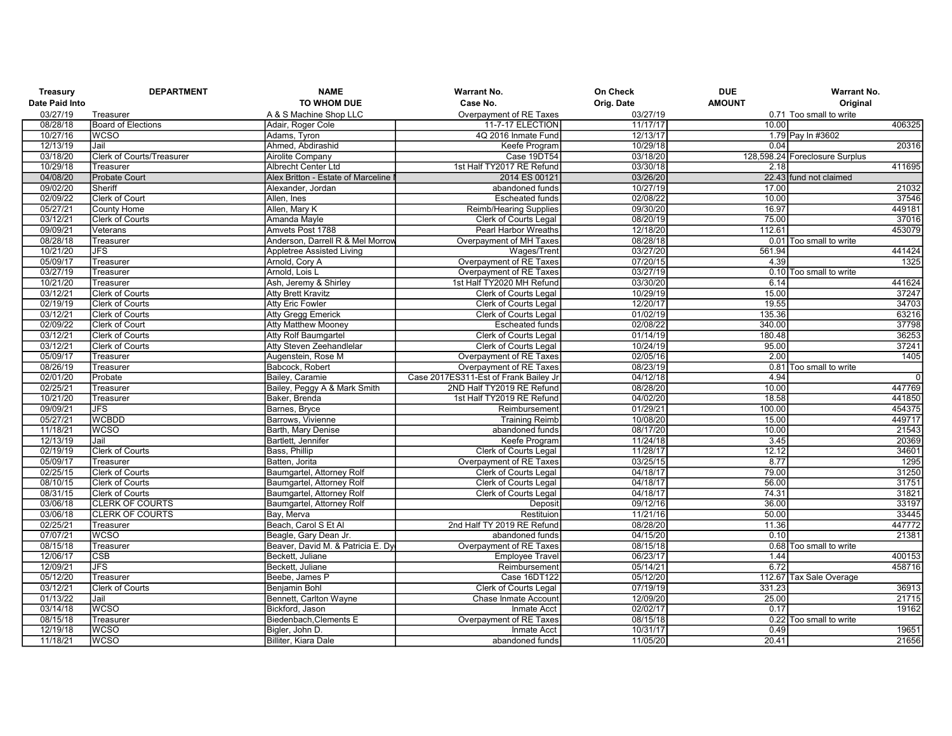| Treasury       | <b>DEPARTMENT</b>                | <b>NAME</b>                        | <b>Warrant No.</b>                    | On Check   | <b>DUE</b>    | <b>Warrant No.</b>             |
|----------------|----------------------------------|------------------------------------|---------------------------------------|------------|---------------|--------------------------------|
| Date Paid Into |                                  | <b>TO WHOM DUE</b>                 | Case No.                              | Orig. Date | <b>AMOUNT</b> | Original                       |
| 03/27/19       | Treasurer                        | A & S Machine Shop LLC             | Overpayment of RE Taxes               | 03/27/19   |               | 0.71 Too small to write        |
| 08/28/18       | <b>Board of Elections</b>        | Adair, Roger Cole                  | 11-7-17 ELECTION                      | 11/17/17   | 10.00         | 406325                         |
| 10/27/16       | <b>WCSO</b>                      | Adams, Tyron                       | 4Q 2016 Inmate Fund                   | 12/13/17   |               | 1.79 Pay In #3602              |
| 12/13/19       | Jail                             | Ahmed, Abdirashid                  | Keefe Program                         | 10/29/18   | 0.04          | 20316                          |
| 03/18/20       | <b>Clerk of Courts/Treasurer</b> | <b>Airolite Company</b>            | Case 19DT54                           | 03/18/20   |               | 128,598.24 Foreclosure Surplus |
| 10/29/18       | Treasurer                        | Albrecht Center Ltd                | 1st Half TY2017 RE Refund             | 03/30/18   | 2.18          | 411695                         |
| 04/08/20       | Probate Court                    | Alex Britton - Estate of Marceline | 2014 ES 00121                         | 03/26/20   |               | 22.43 fund not claimed         |
| 09/02/20       | Sheriff                          | Alexander, Jordan                  | abandoned funds                       | 10/27/19   | 17.00         | 21032                          |
| 02/09/22       | Clerk of Court                   | Allen, Ines                        | <b>Escheated funds</b>                | 02/08/22   | 10.00         | 37546                          |
| 05/27/21       | County Home                      | Allen, Mary K                      | <b>Reimb/Hearing Supplies</b>         | 09/30/20   | 16.97         | 449181                         |
| 03/12/21       | Clerk of Courts                  | Amanda Mayle                       | Clerk of Courts Legal                 | 08/20/19   | 75.00         | 37016                          |
| 09/09/21       | Veterans                         | Amvets Post 1788                   | <b>Pearl Harbor Wreaths</b>           | 12/18/20   | 112.61        | 453079                         |
| 08/28/18       | Treasurer                        | Anderson, Darrell R & Mel Morrow   | Overpayment of MH Taxes               | 08/28/18   |               | 0.01 Too small to write        |
| 10/21/20       | JFS                              | <b>Appletree Assisted Living</b>   | Wages/Trent                           | 03/27/20   | 561.94        | 441424                         |
| 05/09/17       | Treasurer                        | Arnold, Cory A                     | Overpayment of RE Taxes               | 07/20/15   | 4.39          | 1325                           |
| 03/27/19       | Treasurer                        | Arnold, Lois L                     | Overpayment of RE Taxes               | 03/27/19   |               | 0.10 Too small to write        |
| 10/21/20       | Treasurer                        | Ash, Jeremy & Shirley              | 1st Half TY2020 MH Refund             | 03/30/20   | 6.14          | 441624                         |
| 03/12/21       | Clerk of Courts                  | <b>Atty Brett Kravitz</b>          | Clerk of Courts Legal                 | 10/29/19   | 15.00         | 37247                          |
| 02/19/19       | <b>Clerk of Courts</b>           | Atty Eric Fowler                   | Clerk of Courts Legal                 | 12/20/17   | 19.55         | 34703                          |
| 03/12/21       | <b>Clerk of Courts</b>           | <b>Atty Gregg Emerick</b>          | Clerk of Courts Legal                 | 01/02/19   | 135.36        | 63216                          |
| 02/09/22       | Clerk of Court                   | <b>Atty Matthew Mooney</b>         | <b>Escheated funds</b>                | 02/08/22   | 340.00        | 37798                          |
| 03/12/21       | <b>Clerk of Courts</b>           | Atty Rolf Baumgartel               | <b>Clerk of Courts Legal</b>          | 01/14/19   | 180.48        | 36253                          |
| 03/12/21       | <b>Clerk of Courts</b>           | Atty Steven Zeehandlelar           | Clerk of Courts Legal                 | 10/24/19   | 95.00         | 37241                          |
| 05/09/17       | Treasurer                        | Augenstein, Rose M                 | Overpayment of RE Taxes               | 02/05/16   | 2.00          | 1405                           |
| 08/26/19       | Treasurer                        | Babcock, Robert                    | Overpayment of RE Taxes               | 08/23/19   | 0.81          | Too small to write             |
| 02/01/20       | Probate                          | Bailey, Caramie                    | Case 2017ES311-Est of Frank Bailey Jr | 04/12/18   | 4.94          | $\overline{0}$                 |
| 02/25/21       | Treasurer                        | Bailey, Peggy A & Mark Smith       | 2ND Half TY2019 RE Refund             | 08/28/20   | 10.00         | 447769                         |
| 10/21/20       | Treasurer                        | Baker, Brenda                      | 1st Half TY2019 RE Refund             | 04/02/20   | 18.58         | 441850                         |
| 09/09/21       | <b>JFS</b>                       | Barnes, Bryce                      | Reimbursement                         | 01/29/21   | 100.00        | 454375                         |
| 05/27/21       | <b>WCBDD</b>                     | Barrows, Vivienne                  | <b>Training Reimb</b>                 | 10/08/20   | 15.00         | 449717                         |
| 11/18/21       | <b>WCSO</b>                      | Barth, Mary Denise                 | abandoned funds                       | 08/17/20   | 10.00         | 21543                          |
| 12/13/19       | Jail                             | Bartlett, Jennifer                 | Keefe Program                         | 11/24/18   | 3.45          | 20369                          |
| 02/19/19       | <b>Clerk of Courts</b>           | Bass, Phillip                      | Clerk of Courts Legal                 | 11/28/17   | 12.12         | 34601                          |
| 05/09/17       | Treasurer                        | Batten, Jorita                     | Overpayment of RE Taxes               | 03/25/15   | 8.77          | 1295                           |
| 02/25/15       | Clerk of Courts                  | Baumgartel, Attorney Rolf          | Clerk of Courts Legal                 | 04/18/17   | 79.00         | 31250                          |
| 08/10/15       | <b>Clerk of Courts</b>           | <b>Baumgartel, Attorney Rolf</b>   | <b>Clerk of Courts Legal</b>          | 04/18/17   | 56.00         | 31751                          |
| 08/31/15       | <b>Clerk of Courts</b>           | Baumgartel, Attorney Rolf          | <b>Clerk of Courts Legal</b>          | 04/18/17   | 74.31         | 31821                          |
| 03/06/18       | <b>CLERK OF COURTS</b>           | Baumgartel, Attorney Rolf          | Deposit                               | 09/12/16   | 36.00         | 33197                          |
| 03/06/18       | <b>CLERK OF COURTS</b>           | Bay, Merva                         | Restituion                            | 11/21/16   | 50.00         | 33445                          |
| 02/25/21       | Treasurer                        | Beach, Carol S Et Al               | 2nd Half TY 2019 RE Refund            | 08/28/20   | 11.36         | 447772                         |
| 07/07/21       | WCSO                             | Beagle, Gary Dean Jr.              | abandoned funds                       | 04/15/20   | 0.10          | 21381                          |
| 08/15/18       | Treasurer                        | Beaver, David M. & Patricia E. Dy  | Overpayment of RE Taxes               | 08/15/18   |               | 0.68 Too small to write        |
| 12/06/17       | CSB                              | Beckett, Juliane                   | <b>Employee Travel</b>                | 06/23/17   | 1.44          | 400153                         |
| 12/09/21       | $\overline{\mathsf{JFS}}$        | Beckett, Juliane                   | Reimbursement                         | 05/14/21   | 6.72          | 458716                         |
| 05/12/20       | Treasurer                        | Beebe, James P                     | Case 16DT122                          | 05/12/20   |               | 112.67 Tax Sale Overage        |
| 03/12/21       | Clerk of Courts                  | <b>Benjamin Bohl</b>               | <b>Clerk of Courts Legal</b>          | 07/19/19   | 331.23        | 36913                          |
| 01/13/22       | Jail                             | Bennett, Carlton Wayne             | Chase Inmate Account                  | 12/09/20   | 25.00         | 21715                          |
| 03/14/18       | <b>WCSO</b>                      | Bickford, Jason                    | <b>Inmate Acct</b>                    | 02/02/17   | 0.17          | 19162                          |
| 08/15/18       | Treasurer                        | Biedenbach, Clements E             | Overpayment of RE Taxes               | 08/15/18   | 0.22          | Too small to write             |
| 12/19/18       | <b>WCSO</b>                      | Bialer, John D.                    | <b>Inmate Acct</b>                    | 10/31/17   | 0.49          | 19651                          |
| 11/18/21       | <b>WCSO</b>                      | Billiter, Kiara Dale               | abandoned funds                       | 11/05/20   | 20.41         | 21656                          |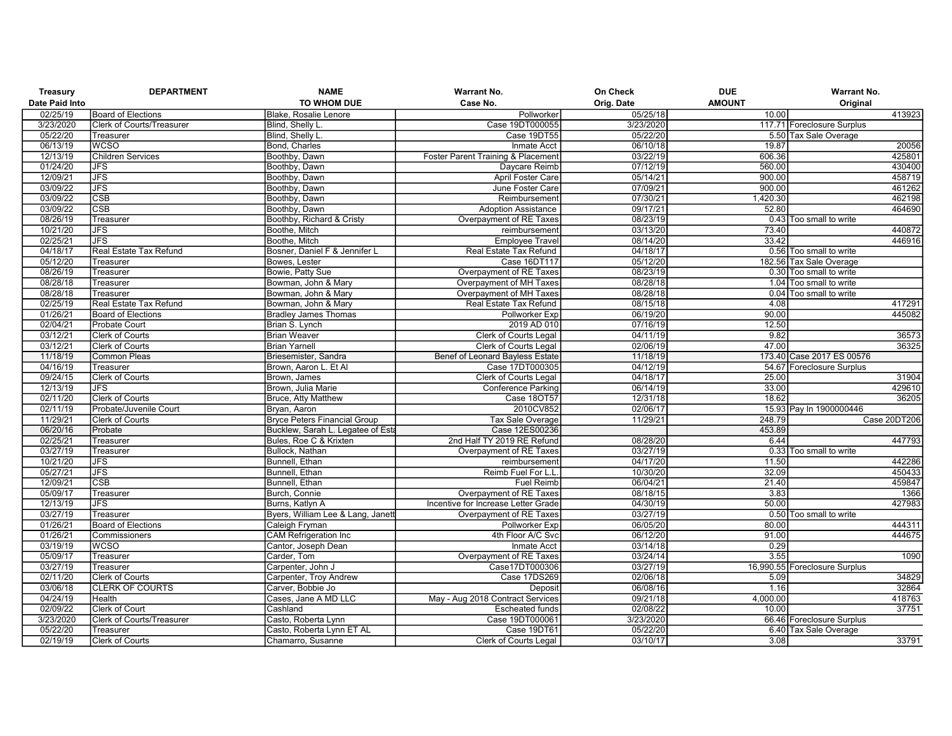| Treasury       | <b>DEPARTMENT</b>                      | <b>NAME</b>                                    | <b>Warrant No.</b>                  | On Check   | <b>DUE</b>    | <b>Warrant No.</b>             |
|----------------|----------------------------------------|------------------------------------------------|-------------------------------------|------------|---------------|--------------------------------|
| Date Paid Into |                                        | TO WHOM DUE                                    | Case No.                            | Orig. Date | <b>AMOUNT</b> | Original                       |
| 02/25/19       | <b>Board of Elections</b>              | Blake, Rosalie Lenore                          | Pollworker                          | 05/25/18   | 10.00         | 413923                         |
| 3/23/2020      | <b>Clerk of Courts/Treasurer</b>       | Blind, Shelly L.                               | Case 19DT000055                     | 3/23/2020  |               | 117.71 Foreclosure Surplus     |
| 05/22/20       | Treasurer                              | Blind, Shelly L.                               | Case 19DT55                         | 05/22/20   |               | 5.50 Tax Sale Overage          |
| 06/13/19       | <b>WCSO</b>                            | Bond, Charles                                  | Inmate Acct                         | 06/10/18   | 19.87         | 20056                          |
| 12/13/19       | <b>Children Services</b>               | Boothby, Dawn                                  | Foster Parent Training & Placement  | 03/22/19   | 606.36        | 425801                         |
| 01/24/20       | <b>JFS</b>                             | Boothby, Dawn                                  | Daycare Reimb                       | 07/12/19   | 560.00        | 430400                         |
| 12/09/21       | <b>JFS</b>                             | Boothby, Dawn                                  | April Foster Care                   | 05/14/21   | 900.00        | 458719                         |
| 03/09/22       | <b>JFS</b>                             | Boothby, Dawn                                  | June Foster Care                    | 07/09/21   | 900.00        | 461262                         |
| 03/09/22       | <b>CSB</b>                             | Boothby, Dawn                                  | Reimbursement                       | 07/30/21   | 1,420.30      | 462198                         |
| 03/09/22       | <b>CSB</b>                             | Boothby, Dawn                                  | <b>Adoption Assistance</b>          | 09/17/21   | 52.80         | 464690                         |
| 08/26/19       | Treasurer                              | Boothby, Richard & Cristy                      | Overpayment of RE Taxes             | 08/23/19   |               | 0.43 Too small to write        |
| 10/21/20       | <b>JFS</b>                             | Boothe, Mitch                                  | reimbursement                       | 03/13/20   | 73.40         | 440872                         |
| 02/25/21       | <b>JFS</b>                             | Boothe, Mitch                                  | <b>Employee Travel</b>              | 08/14/20   | 33.42         | 446916                         |
| 04/18/17       | Real Estate Tax Refund                 | Bosner, Daniel F & Jennifer L                  | Real Estate Tax Refund              | 04/18/17   |               | 0.56 Too small to write        |
| 05/12/20       | Treasurer                              | Bowes, Lester                                  | Case 16DT117                        | 05/12/20   |               | 182.56 Tax Sale Overage        |
| 08/26/19       | Treasurer                              | Bowie, Patty Sue                               | Overpayment of RE Taxes             | 08/23/19   |               | 0.30 Too small to write        |
| 08/28/18       | Treasurer                              | Bowman, John & Mary                            | Overpayment of MH Taxes             | 08/28/18   |               | 1.04 Too small to write        |
| 08/28/18       | Treasurer                              | Bowman, John & Mary                            | Overpayment of MH Taxes             | 08/28/18   |               | 0.04 Too small to write        |
| 02/25/19       | Real Estate Tax Refund                 | Bowman, John & Mary                            | Real Estate Tax Refund              | 08/15/18   | 4.08          | 417291                         |
| 01/26/21       | Board of Elections                     | <b>Bradley James Thomas</b>                    | <b>Pollworker Exp</b>               | 06/19/20   | 90.00         | 445082                         |
| 02/04/21       | Probate Court                          | Brian S. Lynch                                 | 2019 AD 010                         | 07/16/19   | 12.50         |                                |
| 03/12/21       | <b>Clerk of Courts</b>                 | <b>Brian Weaver</b>                            | <b>Clerk of Courts Legal</b>        | 04/11/19   | 9.82          | 36573                          |
| 03/12/21       | <b>Clerk of Courts</b>                 | <b>Brian Yarnell</b>                           | <b>Clerk of Courts Legal</b>        | 02/06/19   | 47.00         | 36325                          |
| 11/18/19       | <b>Common Pleas</b>                    | Briesemister, Sandra                           | Benef of Leonard Bayless Estate     | 11/18/19   |               | 173.40 Case 2017 ES 00576      |
| 04/16/19       | Treasurer                              | Brown, Aaron L. Et Al                          | Case 17DT000305                     | 04/12/19   |               | 54.67 Foreclosure Surplus      |
| 09/24/15       | <b>Clerk of Courts</b>                 | Brown, James                                   | <b>Clerk of Courts Legal</b>        | 04/18/17   | 25.00         | 31904                          |
| 12/13/19       | <b>JFS</b>                             | Brown, Julia Marie                             | <b>Conference Parking</b>           | 06/14/19   | 33.00         | 429610                         |
| 02/11/20       | <b>Clerk of Courts</b>                 | Bruce, Atty Matthew                            | <b>Case 180T57</b>                  | 12/31/18   | 18.62         | 36205                          |
| 02/11/19       | Probate/Juvenile Court                 | Brvan, Aaron                                   | 2010CV852                           | 02/06/17   |               | 15.93 Pay In 1900000446        |
| 11/29/21       | <b>Clerk of Courts</b>                 | <b>Bryce Peters Financial Group</b>            | <b>Tax Sale Overage</b>             | 11/29/21   | 248.79        | Case 20DT206                   |
| 06/20/16       | Probate                                | Bucklew, Sarah L. Legatee of Esta              | Case 12ES00236                      |            | 453.89        |                                |
| 02/25/21       | Treasurer                              | Bules, Roe C & Krixten                         | 2nd Half TY 2019 RE Refund          | 08/28/20   | 6.44          | 447793                         |
| 03/27/19       | Treasurer                              | Bullock, Nathan                                | Overpayment of RE Taxes             | 03/27/19   |               | 0.33 Too small to write        |
| 10/21/20       | <b>JFS</b>                             | Bunnell, Ethan                                 | reimbursement                       | 04/17/20   | 11.50         | 442286                         |
| 05/27/21       | <b>JFS</b>                             | Bunnell, Ethan                                 | Reimb Fuel For L.I                  | 10/30/20   | 32.09         | 450433                         |
| 12/09/21       | <b>CSB</b>                             | Bunnell, Ethan                                 | <b>Fuel Reimb</b>                   | 06/04/21   | 21.40         | 459847                         |
| 05/09/17       | Treasurer                              | Burch, Connie                                  | Overpayment of RE Taxes             | 08/18/15   | 3.83          | 1366                           |
| 12/13/19       | <b>JFS</b>                             | Burns, Katlyn A                                | Incentive for Increase Letter Grade | 04/30/19   | 50.00         | 427983                         |
| 03/27/19       | Treasurer                              | Byers, William Lee & Lang, Janet               | Overpayment of RE Taxes             | 03/27/19   |               | 0.50 Too small to write        |
| 01/26/21       | Board of Elections                     | Caleigh Fryman                                 | Pollworker Exp                      | 06/05/20   | 80.00         | 444311                         |
| 01/26/21       | Commissioners                          | <b>CAM Refrigeration Inc</b>                   | 4th Floor A/C Svc                   | 06/12/20   | 91.00         | 444675                         |
| 03/19/19       | <b>WCSO</b>                            | Cantor, Joseph Dean                            | <b>Inmate Acct</b>                  | 03/14/18   | 0.29          |                                |
| 05/09/17       | Treasurer                              | Carder, Tom                                    | Overpayment of RE Taxes             | 03/24/14   | 3.55          | 1090                           |
| 03/27/19       | Treasurer                              | Carpenter, John J                              | Case17DT000306                      | 03/27/19   |               | 16,990.55 Foreclosure Surplus  |
| 02/11/20       | <b>Clerk of Courts</b>                 | Carpenter, Troy Andrew                         | Case 17DS269                        | 02/06/18   | 5.09          | 34829                          |
| 03/06/18       | <b>CLERK OF COURTS</b>                 | Carver, Bobbie Jo                              | Deposit                             | 06/08/16   | 1.16          | 32864                          |
| 04/24/19       | Health                                 | Cases, Jane A MD LLC                           | May - Aug 2018 Contract Services    | 09/21/18   | 4,000.00      | 418763                         |
| 02/09/22       | Clerk of Court                         | Cashland                                       | <b>Escheated funds</b>              | 02/08/22   | 10.00         | 37751                          |
| 3/23/2020      |                                        | Casto, Roberta Lynn                            | Case 19DT000061                     | 3/23/2020  |               |                                |
| 05/22/20       | Clerk of Courts/Treasurer<br>Treasurer |                                                | Case 19DT61                         | 05/22/20   |               | 66.46 Foreclosure Surplus      |
| 02/19/19       | <b>Clerk of Courts</b>                 | Casto, Roberta Lynn ET AL<br>Chamarro, Susanne | <b>Clerk of Courts Legal</b>        | 03/10/17   | 3.08          | 6.40 Tax Sale Overage<br>33791 |
|                |                                        |                                                |                                     |            |               |                                |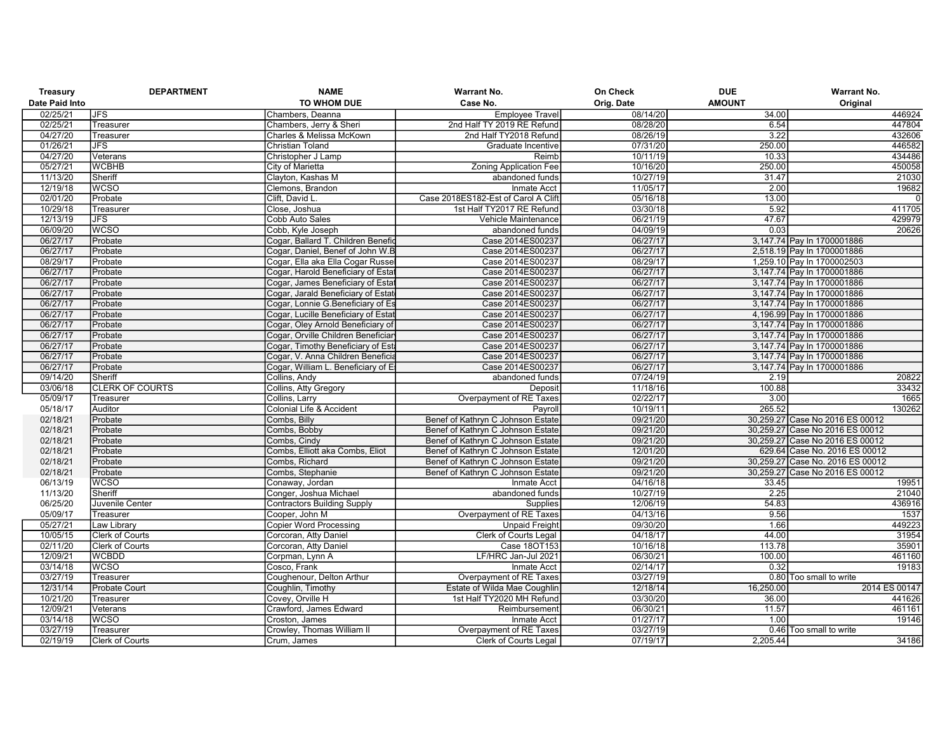| Treasury       | <b>DEPARTMENT</b>      | <b>NAME</b>                         | <b>Warrant No.</b>                  | On Check   | <b>DUE</b>    | Warrant No.                      |
|----------------|------------------------|-------------------------------------|-------------------------------------|------------|---------------|----------------------------------|
| Date Paid Into |                        | TO WHOM DUE                         | Case No.                            | Orig. Date | <b>AMOUNT</b> | Original                         |
| 02/25/21       | <b>JFS</b>             | Chambers, Deanna                    | <b>Employee Travel</b>              | 08/14/20   | 34.00         | 446924                           |
| 02/25/21       | Treasurer              | Chambers, Jerry & Sheri             | 2nd Half TY 2019 RE Refund          | 08/28/20   | 6.54          | 447804                           |
| 04/27/20       | Treasurer              | Charles & Melissa McKown            | 2nd Half TY2018 Refund              | 08/26/19   | 3.22          | 432606                           |
| 01/26/21       | <b>JFS</b>             | <b>Christian Toland</b>             | Graduate Incentive                  | 07/31/20   | 250.00        | 446582                           |
| 04/27/20       | Veterans               | Christopher J Lamp                  | Reimb                               | 10/11/19   | 10.33         | 434486                           |
| 05/27/21       | <b>WCBHB</b>           | City of Marietta                    | <b>Zoning Application Fee</b>       | 10/16/20   | 250.00        | 450058                           |
| 11/13/20       | Sheriff                | Clayton, Kashas M                   | abandoned funds                     | 10/27/19   | 31.47         | 21030                            |
| 12/19/18       | <b>WCSO</b>            | Clemons, Brandon                    | Inmate Acct                         | 11/05/17   | 2.00          | 19682                            |
| 02/01/20       | Probate                | Clift, David L                      | Case 2018ES182-Est of Carol A Clift | 05/16/18   | 13.00         | $\overline{0}$                   |
| 10/29/18       | Treasurer              | Close, Joshua                       | 1st Half TY2017 RE Refund           | 03/30/18   | 5.92          | 411705                           |
| 12/13/19       | <b>JFS</b>             | Cobb Auto Sales                     | Vehicle Maintenance                 | 06/21/19   | 47.67         | 429979                           |
| 06/09/20       | <b>WCSO</b>            | Cobb, Kyle Joseph                   | abandoned funds                     | 04/09/19   | 0.03          | 20626                            |
| 06/27/17       | Probate                | Cogar, Ballard T. Children Benefio  | Case 2014ES00237                    | 06/27/17   |               | 3,147.74 Pay In 1700001886       |
| 06/27/17       | Probate                | Cogar, Daniel, Benef of John W.B    | Case 2014ES00237                    | 06/27/17   |               | 2,518.19 Pay In 1700001886       |
| 08/29/17       | Probate                | Cogar, Ella aka Ella Cogar Russe    | Case 2014ES00237                    | 08/29/17   |               | 1,259.10 Pay In 1700002503       |
| 06/27/17       | Probate                | Cogar, Harold Beneficiary of Estat  | Case 2014ES00237                    | 06/27/17   |               | 3,147.74 Pay In 1700001886       |
| 06/27/17       | Probate                | Cogar, James Beneficiary of Estat   | Case 2014ES00237                    | 06/27/17   |               | 3,147.74 Pay In 1700001886       |
| 06/27/17       | Probate                | Cogar, Jarald Beneficiary of Estat  | Case 2014ES00237                    | 06/27/17   |               | 3,147.74 Pay In 1700001886       |
| 06/27/17       | Probate                | Cogar, Lonnie G.Beneficiary of Es   | Case 2014ES00237                    | 06/27/17   |               | 3,147.74 Pay In 1700001886       |
| 06/27/17       | Probate                | Cogar, Lucille Beneficiary of Estat | Case 2014ES00237                    | 06/27/17   |               | 4,196.99 Pay In 1700001886       |
| 06/27/17       | Probate                | Cogar, Oley Arnold Beneficiary of   | Case 2014ES00237                    | 06/27/17   |               | 3,147.74 Pay In 1700001886       |
| 06/27/17       | Probate                | Cogar, Orville Children Beneficiar  | Case 2014ES00237                    | 06/27/17   |               | 3,147.74 Pay In 1700001886       |
| 06/27/17       | Probate                | Cogar, Timothy Beneficiary of Esta  | Case 2014ES00237                    | 06/27/17   |               | 3,147.74 Pay In 1700001886       |
| 06/27/17       | Probate                | Cogar, V. Anna Children Beneficia   | Case 2014ES00237                    | 06/27/17   |               | 3,147.74 Pay In 1700001886       |
| 06/27/17       | Probate                | Cogar, William L. Beneficiary of E  | Case 2014ES00237                    | 06/27/17   |               | 3,147.74 Pay In 1700001886       |
| 09/14/20       | Sheriff                | Collins, Andy                       | abandoned funds                     | 07/24/19   | 2.19          | 20822                            |
| 03/06/18       | <b>CLERK OF COURTS</b> | Collins, Atty Gregory               | Deposit                             | 11/18/16   | 100.88        | 33432                            |
| 05/09/17       | Treasurer              | Collins, Larry                      | Overpayment of RE Taxes             | 02/22/17   | 3.00          | 1665                             |
| 05/18/17       | Auditor                | Colonial Life & Accident            | Payroll                             | 10/19/11   | 265.52        | 130262                           |
| 02/18/21       | Probate                | Combs, Billy                        | Benef of Kathryn C Johnson Estate   | 09/21/20   |               | 30,259.27 Case No 2016 ES 00012  |
| 02/18/21       | Probate                | Combs, Bobby                        | Benef of Kathryn C Johnson Estate   | 09/21/20   |               | 30,259.27 Case No 2016 ES 00012  |
| 02/18/21       | Probate                | Combs, Cindy                        | Benef of Kathryn C Johnson Estate   | 09/21/20   |               | 30,259.27 Case No 2016 ES 00012  |
| 02/18/21       | Probate                | Combs, Elliott aka Combs, Eliot     | Benef of Kathryn C Johnson Estate   | 12/01/20   |               | 629.64 Case No. 2016 ES 00012    |
| 02/18/21       | Probate                | Combs, Richard                      | Benef of Kathryn C Johnson Estate   | 09/21/20   |               | 30.259.27 Case No. 2016 ES 00012 |
| 02/18/21       | Probate                | Combs, Stephanie                    | Benef of Kathryn C Johnson Estate   | 09/21/20   |               | 30,259.27 Case No 2016 ES 00012  |
| 06/13/19       | <b>WCSO</b>            | Conaway, Jordan                     | Inmate Acct                         | 04/16/18   | 33.45         | 19951                            |
| 11/13/20       | Sheriff                | Conger, Joshua Michael              | abandoned funds                     | 10/27/19   | 2.25          | 21040                            |
| 06/25/20       | Juvenile Center        | <b>Contractors Building Supply</b>  | Supplies                            | 12/06/19   | 54.83         | 436916                           |
| 05/09/17       | Treasurer              | Cooper, John M                      | Overpayment of RE Taxes             | 04/13/16   | 9.56          | 1537                             |
| 05/27/21       | Law Library            | <b>Copier Word Processing</b>       | <b>Unpaid Freight</b>               | 09/30/20   | 1.66          | 449223                           |
| 10/05/15       | Clerk of Courts        | Corcoran, Atty Daniel               | Clerk of Courts Legal               | 04/18/17   | 44.00         | 31954                            |
| 02/11/20       | <b>Clerk of Courts</b> | Corcoran, Atty Daniel               | Case 180T153                        | 10/16/18   | 113.78        | 35901                            |
| 12/09/21       | <b>WCBDD</b>           | Corpman, Lynn A                     | LF/HRC Jan-Jul 2021                 | 06/30/21   | 100.00        | 461160                           |
| 03/14/18       | <b>WCSO</b>            | Cosco, Frank                        | <b>Inmate Acct</b>                  | 02/14/17   | 0.32          | 19183                            |
| 03/27/19       | Treasurer              | Coughenour, Delton Arthur           | Overpayment of RE Taxes             | 03/27/19   |               | 0.80 Too small to write          |
| 12/31/14       | <b>Probate Court</b>   | Coughlin, Timothy                   | Estate of Wilda Mae Coughlin        | 12/18/14   | 16,250.00     | 2014 ES 00147                    |
| 10/21/20       | Treasurer              | Covey, Orville H                    | 1st Half TY2020 MH Refund           | 03/30/20   | 36.00         | 441626                           |
| 12/09/21       | Veterans               | Crawford, James Edward              | Reimbursement                       | 06/30/21   | 11.57         | 461161                           |
| 03/14/18       | <b>WCSO</b>            | Croston, James                      | <b>Inmate Acct</b>                  | 01/27/17   | 1.00          | 19146                            |
| 03/27/19       | Treasurer              | Crowley, Thomas William II          | Overpayment of RE Taxes             | 03/27/19   |               | 0.46 Too small to write          |
| 02/19/19       | <b>Clerk of Courts</b> | Crum, James                         | <b>Clerk of Courts Legal</b>        | 07/19/17   | 2,205.44      | 34186                            |
|                |                        |                                     |                                     |            |               |                                  |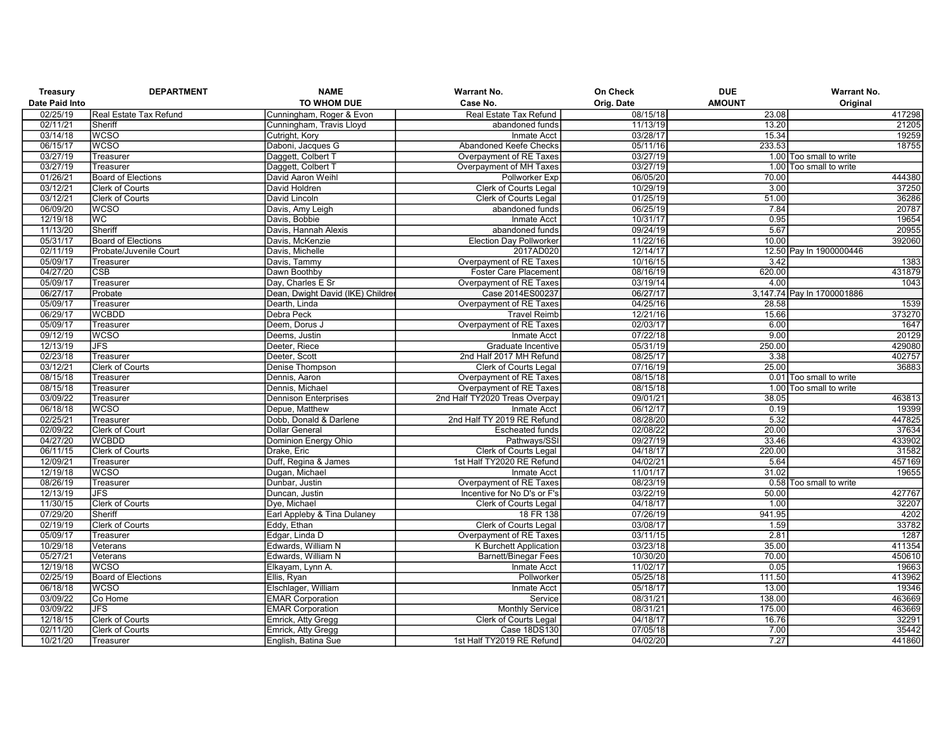| Treasury              | <b>DEPARTMENT</b>                   | <b>NAME</b>                               | <b>Warrant No.</b>                        | On Check   | <b>DUE</b>    | <b>Warrant No.</b>         |
|-----------------------|-------------------------------------|-------------------------------------------|-------------------------------------------|------------|---------------|----------------------------|
| <b>Date Paid Into</b> |                                     | TO WHOM DUE                               | Case No.                                  | Orig. Date | <b>AMOUNT</b> | Original                   |
| 02/25/19              | Real Estate Tax Refund              | Cunningham, Roger & Evon                  | Real Estate Tax Refund                    | 08/15/18   | 23.08         | 417298                     |
| 02/11/21              | Sheriff                             | Cunningham, Travis Lloyd                  | abandoned funds                           | 11/13/19   | 13.20         | 21205                      |
| 03/14/18              | <b>WCSO</b>                         | Cutright, Kory                            | <b>Inmate Acct</b>                        | 03/28/17   | 15.34         | 19259                      |
| 06/15/17              | <b>WCSO</b>                         | Daboni, Jacques G                         | Abandoned Keefe Checks                    | 05/11/16   | 233.53        | 18755                      |
| 03/27/19              | Treasurer                           | Daggett, Colbert T                        | Overpayment of RE Taxes                   | 03/27/19   |               | 1.00 Too small to write    |
| 03/27/19              | Treasurer                           | Daggett, Colbert T                        | Overpayment of MH Taxes                   | 03/27/19   |               | 1.00 Too small to write    |
| 01/26/21              | <b>Board of Elections</b>           | David Aaron Weihl                         | Pollworker Exp                            | 06/05/20   | 70.00         | 444380                     |
| 03/12/21              | <b>Clerk of Courts</b>              | David Holdren                             | <b>Clerk of Courts Legal</b>              | 10/29/19   | 3.00          | 37250                      |
| 03/12/21              | <b>Clerk of Courts</b>              | David Lincoln                             | <b>Clerk of Courts Legal</b>              | 01/25/19   | 51.00         | 36286                      |
| 06/09/20              | <b>WCSO</b>                         | Davis, Amy Leigh                          | abandoned funds                           | 06/25/19   | 7.84          | 20787                      |
| 12/19/18              | WC                                  | Davis, Bobbie                             | Inmate Acct                               | 10/31/17   | 0.95          | 19654                      |
| 11/13/20              | Sheriff                             | Davis, Hannah Alexis                      | abandoned funds                           | 09/24/19   | 5.67          | 20955                      |
| 05/31/17              | <b>Board of Elections</b>           | Davis, McKenzie                           | <b>Election Day Pollworker</b>            | 11/22/16   | 10.00         | 392060                     |
| 02/11/19              | Probate/Juvenile Court              | Davis, Michelle                           | 2017AD020                                 | 12/14/17   |               | 12.50 Pay In 1900000446    |
| 05/09/17              | Treasurer                           | Davis, Tammy                              | Overpayment of RE Taxes                   | 10/16/15   | 3.42          | 1383                       |
| 04/27/20              | <b>CSB</b>                          | Dawn Boothby                              | <b>Foster Care Placement</b>              | 08/16/19   | 620.00        | 431879                     |
| 05/09/17              | Treasurer                           | Day, Charles E Sr                         | Overpayment of RE Taxes                   | 03/19/14   | 4.00          | 1043                       |
| 06/27/17              | Probate                             | Dean, Dwight David (IKE) Childre          | Case 2014ES00237                          | 06/27/17   |               | 3,147.74 Pay In 1700001886 |
| 05/09/17              | Treasurer                           | Dearth, Linda                             | Overpayment of RE Taxes                   | 04/25/16   | 28.58         | 1539                       |
| 06/29/17              | <b>WCBDD</b>                        | Debra Peck                                | <b>Travel Reimb</b>                       | 12/21/16   | 15.66         | 373270                     |
| 05/09/17              | Treasurer                           | Deem. Dorus J                             | Overpayment of RE Taxes                   | 02/03/17   | 6.00          | 1647                       |
| 09/12/19              | <b>WCSO</b>                         | Deems, Justin                             | <b>Inmate Acct</b>                        | 07/22/18   | 9.00          | 20129                      |
| 12/13/19              | <b>JFS</b>                          | Deeter, Riece                             | Graduate Incentive                        | 05/31/19   | 250.00        | 429080                     |
| 02/23/18              | Treasurer                           | Deeter, Scott                             | 2nd Half 2017 MH Refund                   | 08/25/17   | 3.38          | 402757                     |
| 03/12/21              | <b>Clerk of Courts</b>              | Denise Thompson                           | <b>Clerk of Courts Legal</b>              | 07/16/19   | 25.00         | 36883                      |
| 08/15/18              | Treasurer                           | Dennis, Aaron                             | Overpayment of RE Taxes                   | 08/15/18   |               | 0.01 Too small to write    |
| 08/15/18              | Treasurer                           | Dennis, Michael                           | Overpayment of RE Taxes                   | 08/15/18   |               | 1.00 Too small to write    |
| 03/09/22              | Treasurer                           | <b>Dennison Enterprises</b>               | 2nd Half TY2020 Treas Overpay             | 09/01/21   | 38.05         | 463813                     |
| 06/18/18              | <b>WCSO</b>                         | Depue, Matthew                            | Inmate Acct                               | 06/12/17   | 0.19          | 19399                      |
| 02/25/21              | Treasurer                           | Dobb, Donald & Darlene                    | 2nd Half TY 2019 RE Refund                | 08/28/20   | 5.32          | 447825                     |
| 02/09/22              | Clerk of Court                      | <b>Dollar General</b>                     | <b>Escheated funds</b>                    | 02/08/22   | 20.00         | 37634                      |
| 04/27/20              | <b>WCBDD</b>                        | Dominion Energy Ohio                      | Pathways/SSI                              | 09/27/19   | 33.46         | 433902                     |
| 06/11/15              | <b>Clerk of Courts</b>              | Drake, Eric                               | <b>Clerk of Courts Legal</b>              | 04/18/17   | 220.00        | 31582                      |
| 12/09/21              | Treasurer                           | Duff, Regina & James                      | 1st Half TY2020 RE Refund                 | 04/02/21   | 5.64          | 457169                     |
| 12/19/18              | <b>WCSO</b>                         | Dugan, Michael                            | Inmate Acct                               | 11/01/17   | 31.02         | 19655                      |
| 08/26/19              | Treasurer                           | Dunbar, Justin                            | Overpayment of RE Taxes                   | 08/23/19   |               | 0.58 Too small to write    |
| 12/13/19              | <b>JFS</b>                          | Duncan, Justin                            | Incentive for No D's or F's               | 03/22/19   | 50.00         | 427767                     |
| 11/30/15              | Clerk of Courts                     | Dve. Michael                              | Clerk of Courts Legal                     | 04/18/17   | 1.00          | 32207                      |
| 07/29/20              | Sheriff                             | Earl Appleby & Tina Dulaney               | 18 FR 138                                 | 07/26/19   | 941.95        | 4202                       |
| 02/19/19              | <b>Clerk of Courts</b>              | Eddy, Ethan                               | Clerk of Courts Legal                     | 03/08/17   | 1.59          | 33782                      |
| 05/09/17              | Treasurer                           | Edgar, Linda D                            | Overpayment of RE Taxes                   | 03/11/15   | 2.81          | 1287                       |
| 10/29/18              | Veterans                            | Edwards, William N                        | <b>K Burchett Application</b>             | 03/23/18   | 35.00         | 411354                     |
| 05/27/21              | Veterans                            | Edwards, William N                        | <b>Barnett/Binegar Fees</b>               | 10/30/20   | 70.00         | 450610                     |
| 12/19/18              | <b>WCSO</b>                         | Elkayam, Lynn A.                          | Inmate Acct                               | 11/02/17   | 0.05          | 19663                      |
| 02/25/19              | <b>Board of Elections</b>           | Ellis, Ryan                               | Pollworker                                | 05/25/18   | 111.50        | 413962                     |
| 06/18/18              | <b>WCSO</b>                         | Elschlager, William                       | Inmate Acct                               | 05/18/17   | 13.00         | 19346                      |
| 03/09/22              | Co Home                             | <b>EMAR Corporation</b>                   | Service                                   | 08/31/21   | 138.00        | 463669                     |
| 03/09/22              | <b>JFS</b>                          | <b>EMAR Corporation</b>                   | <b>Monthly Service</b>                    | 08/31/21   | 175.00        | 463669                     |
| 12/18/15              | <b>Clerk of Courts</b>              |                                           |                                           | 04/18/17   | 16.76         | 32291                      |
| 02/11/20              |                                     | Emrick, Atty Gregg                        | Clerk of Courts Legal                     | 07/05/18   | 7.00          | 35442                      |
| 10/21/20              | <b>Clerk of Courts</b><br>Treasurer | Emrick, Atty Gregg<br>English, Batina Sue | Case 18DS130<br>1st Half TY2019 RE Refund | 04/02/20   | 7.27          | 441860                     |
|                       |                                     |                                           |                                           |            |               |                            |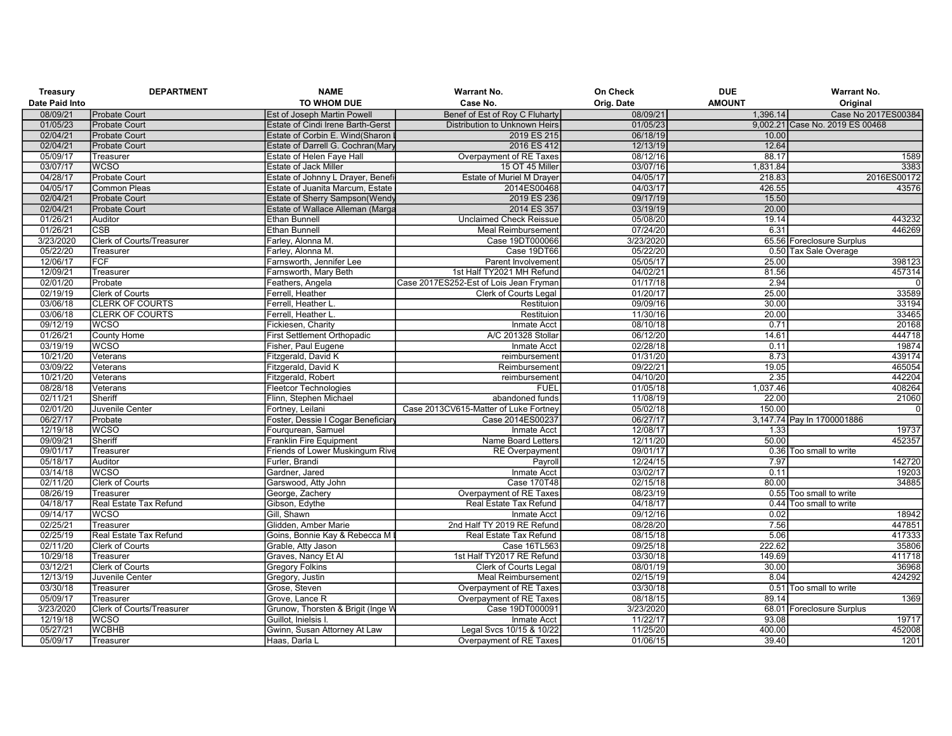| Treasury       | <b>DEPARTMENT</b>         | <b>NAME</b>                            | <b>Warrant No.</b>                     | On Check   | <b>DUE</b>    | <b>Warrant No.</b>              |
|----------------|---------------------------|----------------------------------------|----------------------------------------|------------|---------------|---------------------------------|
| Date Paid Into |                           | <b>TO WHOM DUE</b>                     | Case No.                               | Orig. Date | <b>AMOUNT</b> | Original                        |
| 08/09/21       | <b>Probate Court</b>      | <b>Est of Joseph Martin Powell</b>     | Benef of Est of Roy C Fluharty         | 08/09/21   | 1,396.14      | Case No 2017ES00384             |
| 01/05/23       | <b>Probate Court</b>      | Estate of Cindi Irene Barth-Gerst      | Distribution to Unknown Heirs          | 01/05/23   |               | 9,002.21 Case No. 2019 ES 00468 |
| 02/04/21       | <b>Probate Court</b>      | Estate of Corbin E. Wind(Sharon        | 2019 ES 215                            | 06/18/19   | 10.00         |                                 |
| 02/04/21       | <b>Probate Court</b>      | Estate of Darrell G. Cochran(Mary      | 2016 ES 412                            | 12/13/19   | 12.64         |                                 |
| 05/09/17       | <b>Treasurer</b>          | Estate of Helen Faye Hall              | Overpayment of RE Taxes                | 08/12/16   | 88.17         | 1589                            |
| 03/07/17       | <b>WCSO</b>               | <b>Estate of Jack Miller</b>           | 15 OT 45 Miller                        | 03/07/16   | 1,831.84      | 3383                            |
| 04/28/17       | <b>Probate Court</b>      | Estate of Johnny L Drayer, Benefi      | Estate of Muriel M Drayer              | 04/05/17   | 218.83        | 2016ES00172                     |
| 04/05/17       | <b>Common Pleas</b>       | Estate of Juanita Marcum, Estate       | 2014ES00468                            | 04/03/17   | 426.55        | 43576                           |
| 02/04/21       | <b>Probate Court</b>      | <b>Estate of Sherry Sampson (Wendy</b> | 2019 ES 236                            | 09/17/19   | 15.50         |                                 |
| 02/04/21       | <b>Probate Court</b>      | Estate of Wallace Alleman (Marga       | 2014 ES 357                            | 03/19/19   | 20.00         |                                 |
| 01/26/21       | Auditor                   | <b>Ethan Bunnell</b>                   | <b>Unclaimed Check Reissue</b>         | 05/08/20   | 19.14         | 443232                          |
| 01/26/21       | <b>CSB</b>                | <b>Ethan Bunnell</b>                   | <b>Meal Reimbursement</b>              | 07/24/20   | 6.31          | 446269                          |
| 3/23/2020      | Clerk of Courts/Treasurer | Farley, Alonna M.                      | Case 19DT000066                        | 3/23/2020  |               | 65.56 Foreclosure Surplus       |
| 05/22/20       | Treasurer                 | Farley, Alonna M.                      | Case 19DT66                            | 05/22/20   |               | 0.50 Tax Sale Overage           |
| 12/06/17       | <b>FCF</b>                | Farnsworth, Jennifer Lee               | Parent Involvement                     | 05/05/17   | 25.00         | 398123                          |
| 12/09/21       | Treasurer                 | Farnsworth, Mary Beth                  | 1st Half TY2021 MH Refund              | 04/02/21   | 81.56         | 457314                          |
| 02/01/20       | Probate                   | Feathers, Angela                       | Case 2017ES252-Est of Lois Jean Fryman | 01/17/18   | 2.94          | $\Omega$                        |
| 02/19/19       | <b>Clerk of Courts</b>    | Ferrell, Heather                       | Clerk of Courts Legal                  | 01/20/17   | 25.00         | 33589                           |
| 03/06/18       | <b>CLERK OF COURTS</b>    | Ferrell, Heather L                     | Restituion                             | 09/09/16   | 30.00         | 33194                           |
| 03/06/18       | <b>CLERK OF COURTS</b>    | Ferrell, Heather L                     | Restituion                             | 11/30/16   | 20.00         | 33465                           |
| 09/12/19       | <b>WCSO</b>               | Fickiesen, Charity                     | Inmate Acct                            | 08/10/18   | 0.71          | 20168                           |
| 01/26/21       | <b>County Home</b>        | First Settlement Orthopadic            | A/C 201328 Stollar                     | 06/12/20   | 14.61         | 444718                          |
| 03/19/19       | <b>WCSO</b>               | Fisher, Paul Eugene                    | Inmate Acct                            | 02/28/18   | 0.11          | 19874                           |
| 10/21/20       | Veterans                  | Fitzgerald, David K                    | reimbursement                          | 01/31/20   | 8.73          | 439174                          |
| 03/09/22       | Veterans                  | Fitzgerald, David K                    | Reimbursement                          | 09/22/21   | 19.05         | 465054                          |
| 10/21/20       | Veterans                  | Fitzgerald, Robert                     | reimbursement                          | 04/10/20   | 2.35          | 442204                          |
| 08/28/18       | Veterans                  | <b>Fleetcor Technologies</b>           | <b>FUEL</b>                            | 01/05/18   | 1.037.46      | 408264                          |
| 02/11/21       | Sheriff                   | Flinn, Stephen Michael                 | abandoned funds                        | 11/08/19   | 22.00         | 21060                           |
| 02/01/20       | Juvenile Center           | Fortney, Leilani                       | Case 2013CV615-Matter of Luke Fortney  | 05/02/18   | 150.00        | $\Omega$                        |
| 06/27/17       | Probate                   | Foster, Dessie I Cogar Beneficiary     | Case 2014ES00237                       | 06/27/17   |               | 3,147.74 Pay In 1700001886      |
| 12/19/18       | <b>WCSO</b>               | Fourqurean, Samuel                     | <b>Inmate Acct</b>                     | 12/08/17   | 1.33          | 19737                           |
| 09/09/21       | Sheriff                   | Franklin Fire Equipment                | <b>Name Board Letters</b>              | 12/11/20   | 50.00         | 452357                          |
| 09/01/17       | Treasurer                 | Friends of Lower Muskingum Rive        | <b>RE</b> Overpayment                  | 09/01/17   |               | 0.36 Too small to write         |
| 05/18/17       | Auditor                   | Furler, Brandi                         | Payroll                                | 12/24/15   | 7.97          | 142720                          |
| 03/14/18       | <b>WCSO</b>               | Gardner, Jared                         | Inmate Acct                            | 03/02/17   | 0.11          | 19203                           |
| 02/11/20       | <b>Clerk of Courts</b>    | Garswood, Atty John                    | <b>Case 170T48</b>                     | 02/15/18   | 80.00         | 34885                           |
| 08/26/19       | Treasurer                 | George, Zachery                        | Overpayment of RE Taxes                | 08/23/19   |               | 0.55 Too small to write         |
| 04/18/17       | Real Estate Tax Refund    | Gibson, Edythe                         | Real Estate Tax Refund                 | 04/18/17   |               | 0.44 Too small to write         |
| 09/14/17       | <b>WCSO</b>               | Gill, Shawn                            | Inmate Acct                            | 09/12/16   | 0.02          | 18942                           |
| 02/25/21       | Treasurer                 | Glidden, Amber Marie                   | 2nd Half TY 2019 RE Refund             | 08/28/20   | 7.56          | 447851                          |
| 02/25/19       | Real Estate Tax Refund    | Goins, Bonnie Kay & Rebecca M          | Real Estate Tax Refund                 | 08/15/18   | 5.06          | 417333                          |
| 02/11/20       | <b>Clerk of Courts</b>    | Grable, Atty Jason                     | <b>Case 16TL563</b>                    | 09/25/18   | 222.62        | 35806                           |
| 10/29/18       | Treasurer                 | Graves, Nancy Et Al                    | 1st Half TY2017 RE Refund              | 03/30/18   | 149.69        | 411718                          |
| 03/12/21       | <b>Clerk of Courts</b>    | <b>Gregory Folkins</b>                 | <b>Clerk of Courts Legal</b>           | 08/01/19   | 30.00         | 36968                           |
| 12/13/19       | Juvenile Center           | Gregory, Justin                        | Meal Reimbursement                     | 02/15/19   | 8.04          | 424292                          |
| 03/30/18       | Treasurer                 | Grose, Steven                          | Overpayment of RE Taxes                | 03/30/18   |               | 0.51 Too small to write         |
| 05/09/17       | Treasurer                 | Grove, Lance R                         | Overpayment of RE Taxes                | 08/18/15   | 89.14         | 1369                            |
| 3/23/2020      | Clerk of Courts/Treasurer | Grunow, Thorsten & Brigit (Inge W      | Case 19DT000091                        | 3/23/2020  |               | 68.01 Foreclosure Surplus       |
| 12/19/18       | <b>WCSO</b>               | Guillot, Inielsis I                    | <b>Inmate Acct</b>                     | 11/22/17   | 93.08         | 19717                           |
| 05/27/21       | <b>WCBHB</b>              | Gwinn, Susan Attorney At Law           | Legal Svcs 10/15 & 10/22               | 11/25/20   | 400.00        | 452008                          |
| 05/09/17       | Treasurer                 | Haas, Darla L                          | Overpayment of RE Taxes                | 01/06/15   | 39.40         | 1201                            |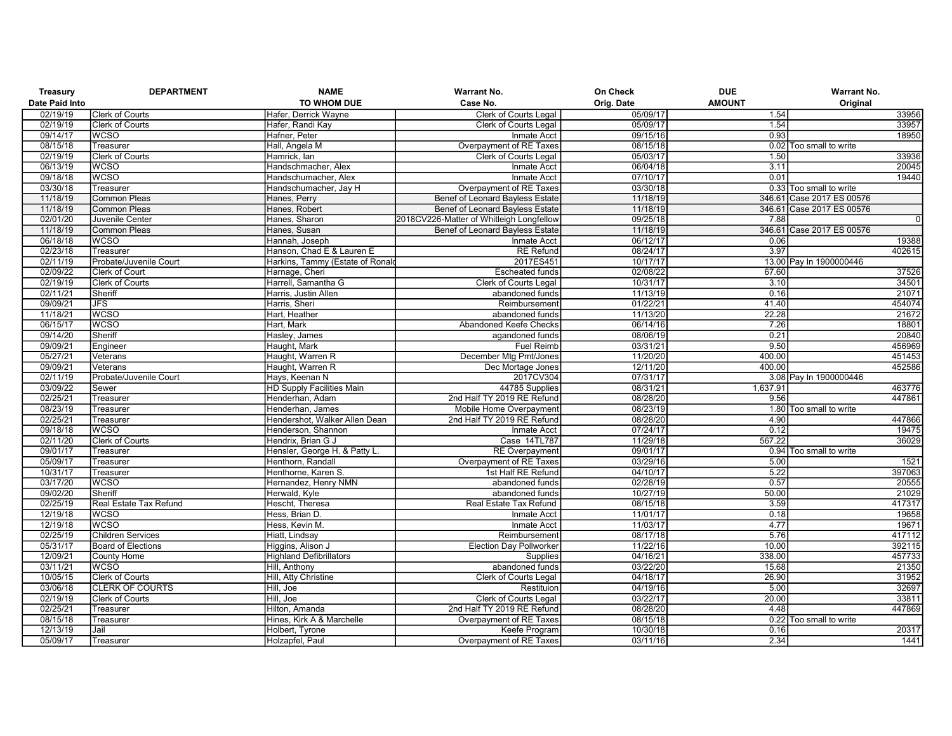| Treasury              | <b>DEPARTMENT</b>         | <b>NAME</b>                      | <b>Warrant No.</b>                              | On Check             | <b>DUE</b>    | <b>Warrant No.</b>        |
|-----------------------|---------------------------|----------------------------------|-------------------------------------------------|----------------------|---------------|---------------------------|
| <b>Date Paid Into</b> |                           | TO WHOM DUE                      | Case No.                                        | Orig. Date           | <b>AMOUNT</b> | Original                  |
| 02/19/19              | <b>Clerk of Courts</b>    | Hafer, Derrick Wayne             | <b>Clerk of Courts Legal</b>                    | 05/09/17             | 1.54          | 33956                     |
| 02/19/19              | <b>Clerk of Courts</b>    | Hafer, Randi Kay                 | Clerk of Courts Legal                           | 05/09/17             | 1.54          | 33957                     |
| 09/14/17              | <b>WCSO</b>               | Hafner, Peter                    | <b>Inmate Acct</b>                              | 09/15/16             | 0.93          | 18950                     |
| 08/15/18              | Treasurer                 | Hall, Angela M                   | Overpayment of RE Taxes                         | 08/15/18             |               | 0.02 Too small to write   |
| 02/19/19              | <b>Clerk of Courts</b>    | Hamrick, lan                     | <b>Clerk of Courts Legal</b>                    | 05/03/17             | 1.50          | 33936                     |
| 06/13/19              | <b>WCSO</b>               | Handschmacher, Alex              | <b>Inmate Acct</b>                              | 06/04/18             | 3.11          | 20045                     |
| 09/18/18              | <b>WCSO</b>               | Handschumacher, Alex             | Inmate Acct                                     | 07/10/17             | 0.01          | 19440                     |
| 03/30/18              | Treasurer                 | Handschumacher, Jay H            | Overpayment of RE Taxes                         | 03/30/18             |               | 0.33 Too small to write   |
| 11/18/19              | <b>Common Pleas</b>       | Hanes, Perry                     | <b>Benef of Leonard Bayless Estate</b>          | 11/18/19             |               | 346.61 Case 2017 ES 00576 |
| 11/18/19              | <b>Common Pleas</b>       | Hanes, Robert                    | <b>Benef of Leonard Bayless Estate</b>          | 11/18/19             |               | 346.61 Case 2017 ES 00576 |
| 02/01/20              | Juvenile Center           | Hanes, Sharon                    | 2018CV226-Matter of Whitleigh Longfellow        | 09/25/18             | 7.88          | $\overline{0}$            |
| 11/18/19              | <b>Common Pleas</b>       | Hanes, Susan                     | Benef of Leonard Bayless Estate                 | 11/18/19             |               | 346.61 Case 2017 ES 00576 |
| 06/18/18              | <b>WCSO</b>               | Hannah, Joseph                   | <b>Inmate Acct</b>                              | 06/12/17             | 0.06          | 19388                     |
| 02/23/18              | Treasurer                 | Hanson, Chad E & Lauren E        | <b>RE</b> Refund                                | 08/24/17             | 3.97          | 402615                    |
| 02/11/19              | Probate/Juvenile Court    | Harkins, Tammy (Estate of Ronald | 2017ES451                                       | 10/17/17             |               | 13.00 Pay In 1900000446   |
| 02/09/22              | Clerk of Court            | Harnage, Cheri                   | <b>Escheated funds</b>                          | 02/08/22             | 67.60         | 37526                     |
| 02/19/19              | <b>Clerk of Courts</b>    | Harrell, Samantha G              | <b>Clerk of Courts Legal</b>                    | 10/31/17             | 3.10          | 34501                     |
| 02/11/21              | Sheriff                   | Harris, Justin Allen             | abandoned funds                                 | 11/13/19             | 0.16          | 21071                     |
| 09/09/21              | <b>JFS</b>                | Harris, Sheri                    | Reimbursement                                   | 01/22/21             | 41.40         | 454074                    |
| 11/18/21              | <b>WCSO</b>               | Hart, Heather                    | abandoned funds                                 | 11/13/20             | 22.28         | 21672                     |
| 06/15/17              | <b>WCSO</b>               | Hart. Mark                       | Abandoned Keefe Checks                          | 06/14/16             | 7.26          | 18801                     |
| 09/14/20              | Sheriff                   | Hasley, James                    | agandoned funds                                 | 08/06/19             | 0.21          | 20840                     |
| 09/09/21              | Engineer                  | Haught, Mark                     | <b>Fuel Reimb</b>                               | 03/31/21             | 9.50          | 456969                    |
| 05/27/21              | Veterans                  | Haught, Warren R                 | December Mtg Pmt/Jones                          | 11/20/20             | 400.00        | 451453                    |
| 09/09/21              | Veterans                  | Haught, Warren R                 | Dec Mortage Jones                               | 12/11/20             | 400.00        | 452586                    |
| 02/11/19              | Probate/Juvenile Court    | Hays, Keenan N                   | 2017CV304                                       | 07/31/17             |               | 3.08 Pay In 1900000446    |
| 03/09/22              | Sewer                     | <b>HD Supply Facilities Main</b> | 44785 Supplies                                  | 08/31/21             | 1,637.91      | 463776                    |
| 02/25/21              | Treasurer                 | Henderhan, Adam                  | 2nd Half TY 2019 RE Refund                      | 08/28/20             | 9.56          | 447861                    |
| 08/23/19              | Treasurer                 | Henderhan, James                 | Mobile Home Overpayment                         | 08/23/19             |               | 1.80 Too small to write   |
| 02/25/21              | Treasurer                 | Hendershot, Walker Allen Dean    | 2nd Half TY 2019 RE Refund                      | 08/28/20             | 4.90          | 447866                    |
| 09/18/18              | <b>WCSO</b>               | Henderson, Shannon               | Inmate Acct                                     | 07/24/17             | 0.12          | 19475                     |
| 02/11/20              | <b>Clerk of Courts</b>    | Hendrix, Brian G J               | Case 14TL787                                    | 11/29/18             | 567.22        | 36029                     |
| 09/01/17              | Treasurer                 | Hensler, George H. & Patty L.    | <b>RE</b> Overpayment                           | 09/01/17             |               | 0.94 Too small to write   |
| 05/09/17              | Treasurer                 | Henthorn, Randall                | Overpayment of RE Taxes                         | 03/29/16             | 5.00          | 1521                      |
| 10/31/17              | Treasurer                 | Henthorne, Karen S.              | 1st Half RE Refund                              | 04/10/17             | 5.22          | 397063                    |
| 03/17/20              | <b>WCSO</b>               | Hernandez, Henry NMN             | abandoned funds                                 | 02/28/19             | 0.57          | 20555                     |
| 09/02/20              | Sheriff                   | Herwald, Kyle                    | abandoned funds                                 | 10/27/19             | 50.00         | 21029                     |
| 02/25/19              | Real Estate Tax Refund    | Hescht, Theresa                  | Real Estate Tax Refund                          | 08/15/18             | 3.59          | 417317                    |
| 12/19/18              | <b>WCSO</b>               | Hess, Brian D.                   | <b>Inmate Acct</b>                              | 11/01/17             | 0.18          | 19658                     |
| 12/19/18              | <b>WCSO</b>               | Hess, Kevin M.                   | Inmate Acct                                     | 11/03/17             | 4.77          | 19671                     |
| 02/25/19              | <b>Children Services</b>  | Hiatt, Lindsay                   |                                                 | 08/17/18             | 5.76          | 417112                    |
| 05/31/17              |                           | Higgins, Alison J                | Reimbursement<br><b>Election Day Pollworker</b> | 11/22/16             | 10.00         | 392115                    |
|                       | <b>Board of Elections</b> |                                  |                                                 | 04/16/21             |               | 457733                    |
| 12/09/21              | County Home               | <b>Highland Defibrillators</b>   | Supplies                                        |                      | 338.00        |                           |
| 03/11/21              | <b>WCSO</b>               | Hill, Anthony                    | abandoned funds                                 | 03/22/20<br>04/18/17 | 15.68         | 21350                     |
| 10/05/15              | <b>Clerk of Courts</b>    | Hill, Atty Christine             | Clerk of Courts Legal                           |                      | 26.90         | 31952                     |
| 03/06/18              | <b>CLERK OF COURTS</b>    | Hill, Joe                        | Restituion                                      | 04/19/16             | 5.00          | 32697                     |
| 02/19/19              | <b>Clerk of Courts</b>    | Hill, Joe                        | Clerk of Courts Legal                           | 03/22/17             | 20.00         | 33811                     |
| 02/25/21              | Treasurer                 | Hilton, Amanda                   | 2nd Half TY 2019 RE Refund                      | 08/28/20             | 4.48          | 447869                    |
| 08/15/18              | Treasurer                 | Hines, Kirk A & Marchelle        | Overpayment of RE Taxes                         | 08/15/18             |               | 0.22 Too small to write   |
| 12/13/19              | Jail                      | Holbert, Tyrone                  | Keefe Program                                   | 10/30/18             | 0.16          | 20317                     |
| 05/09/17              | Treasurer                 | Holzapfel, Paul                  | Overpayment of RE Taxes                         | 03/11/16             | 2.34          | 1441                      |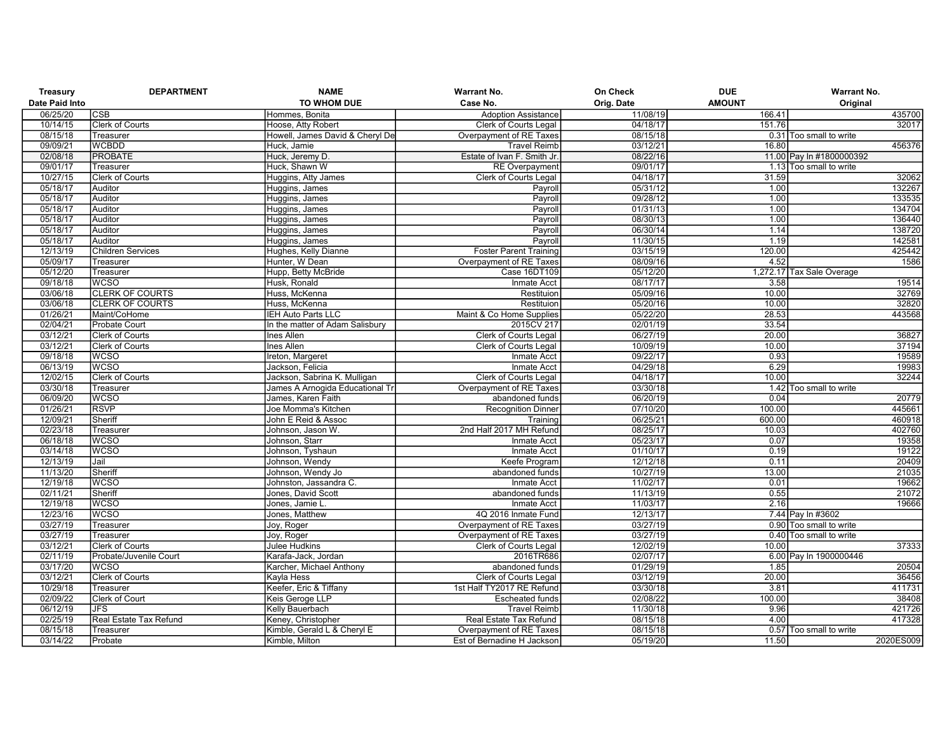| <b>Treasury</b>       | <b>DEPARTMENT</b>        | <b>NAME</b>                     | <b>Warrant No.</b>            | On Check   | <b>DUE</b>    | <b>Warrant No.</b>        |
|-----------------------|--------------------------|---------------------------------|-------------------------------|------------|---------------|---------------------------|
| <b>Date Paid Into</b> |                          | TO WHOM DUE                     | Case No.                      | Orig. Date | <b>AMOUNT</b> | Original                  |
| 06/25/20              | <b>CSB</b>               | Hommes, Bonita                  | <b>Adoption Assistance</b>    | 11/08/19   | 166.41        | 435700                    |
| 10/14/15              | Clerk of Courts          | Hoose, Atty Robert              | Clerk of Courts Legal         | 04/18/17   | 151.76        | 32017                     |
| 08/15/18              | Treasurer                | Howell, James David & Cheryl De | Overpayment of RE Taxes       | 08/15/18   |               | 0.31 Too small to write   |
| 09/09/21              | <b>WCBDD</b>             | Huck, Jamie                     | Travel Reimb                  | 03/12/21   | 16.80         | 456376                    |
| 02/08/18              | <b>PROBATE</b>           | Huck, Jeremy D.                 | Estate of Ivan F. Smith Jr.   | 08/22/16   |               | 11.00 Pay In #1800000392  |
| 09/01/17              | Treasurer                | Huck, Shawn W                   | <b>RE</b> Overpayment         | 09/01/17   |               | 1.13 Too small to write   |
| 10/27/15              | <b>Clerk of Courts</b>   | Huggins, Atty James             | Clerk of Courts Legal         | 04/18/17   | 31.59         | 32062                     |
| 05/18/17              | Auditor                  | Huggins, James                  | Payroll                       | 05/31/12   | 1.00          | 132267                    |
| 05/18/17              | Auditor                  | Huggins, James                  | Payroll                       | 09/28/12   | 1.00          | 133535                    |
| 05/18/17              | Auditor                  | Huggins, James                  | Payroll                       | 01/31/13   | 1.00          | 134704                    |
| 05/18/17              | Auditor                  | Huggins, James                  | Payroll                       | 08/30/13   | 1.00          | 136440                    |
| 05/18/17              | Auditor                  | Huggins, James                  | Payroll                       | 06/30/14   | 1.14          | 138720                    |
| 05/18/17              | Auditor                  | Huggins, James                  | Payroll                       | 11/30/15   | 1.19          | 142581                    |
| 12/13/19              | <b>Children Services</b> | Hughes, Kelly Dianne            | <b>Foster Parent Training</b> | 03/15/19   | 120.00        | 425442                    |
| 05/09/17              | Treasurer                | Hunter, W Dean                  | Overpayment of RE Taxes       | 08/09/16   | 4.52          | 1586                      |
| 05/12/20              | Treasurer                | Hupp, Betty McBride             | Case 16DT109                  | 05/12/20   |               | 1,272.17 Tax Sale Overage |
| 09/18/18              | <b>WCSO</b>              | Husk, Ronald                    | Inmate Acct                   | 08/17/17   | 3.58          | 19514                     |
| 03/06/18              | <b>CLERK OF COURTS</b>   | Huss, McKenna                   | Restituion                    | 05/09/16   | 10.00         | 32769                     |
| 03/06/18              | <b>CLERK OF COURTS</b>   | Huss, McKenna                   | Restituion                    | 05/20/16   | 10.00         | 32820                     |
| 01/26/21              | Maint/CoHome             | <b>IEH Auto Parts LLC</b>       | Maint & Co Home Supplies      | 05/22/20   | 28.53         | 443568                    |
| 02/04/21              | <b>Probate Court</b>     | In the matter of Adam Salisbury | 2015CV 217                    | 02/01/19   | 33.54         |                           |
| 03/12/21              | <b>Clerk of Courts</b>   | <b>Ines Allen</b>               | Clerk of Courts Legal         | 06/27/19   | 20.00         | 36827                     |
| 03/12/21              | <b>Clerk of Courts</b>   | <b>Ines Allen</b>               | <b>Clerk of Courts Legal</b>  | 10/09/19   | 10.00         | 37194                     |
| 09/18/18              | <b>WCSO</b>              | Ireton, Margeret                | Inmate Acct                   | 09/22/17   | 0.93          | 19589                     |
| 06/13/19              | <b>WCSO</b>              | Jackson, Felicia                | Inmate Acct                   | 04/29/18   | 6.29          | 19983                     |
| 12/02/15              | <b>Clerk of Courts</b>   | Jackson, Sabrina K. Mulligan    | Clerk of Courts Legal         | 04/18/17   | 10.00         | 32244                     |
| 03/30/18              | Treasurer                | James A Arnogida Educational Tr | Overpayment of RE Taxes       | 03/30/18   |               | 1.42 Too small to write   |
| 06/09/20              | <b>WCSO</b>              | James, Karen Faith              | abandoned funds               | 06/20/19   | 0.04          | 20779                     |
| 01/26/21              | <b>RSVP</b>              | Joe Momma's Kitchen             | <b>Recognition Dinner</b>     | 07/10/20   | 100.00        | 445661                    |
| 12/09/21              | Sheriff                  | John E Reid & Assoc             | Training                      | 06/25/21   | 600.00        | 460918                    |
| 02/23/18              | Treasurer                | Johnson, Jason W.               | 2nd Half 2017 MH Refund       | 08/25/17   | 10.03         | 402760                    |
| 06/18/18              | <b>WCSO</b>              | Johnson, Starr                  | Inmate Acct                   | 05/23/17   | 0.07          | 19358                     |
| 03/14/18              | <b>WCSO</b>              | Johnson, Tyshaun                | Inmate Acct                   | 01/10/17   | 0.19          | 19122                     |
| 12/13/19              | Jail                     | Johnson, Wendy                  | Keefe Program                 | 12/12/18   | 0.11          | 20409                     |
| 11/13/20              | Sheriff                  | Johnson, Wendy Jo               | abandoned funds               | 10/27/19   | 13.00         | 21035                     |
| 12/19/18              | <b>WCSO</b>              | Johnston, Jassandra C.          | <b>Inmate Acct</b>            | 11/02/17   | 0.01          | 19662                     |
| 02/11/21              | Sheriff                  | Jones, David Scott              | abandoned funds               | 11/13/19   | 0.55          | 21072                     |
| 12/19/18              | <b>WCSO</b>              | Jones, Jamie L                  | Inmate Acct                   | 11/03/17   | 2.16          | 19666                     |
| 12/23/16              | <b>WCSO</b>              | Jones, Matthew                  | 4Q 2016 Inmate Fund           | 12/13/17   |               | 7.44 Pay In #3602         |
| 03/27/19              | Treasurer                | Joy, Roger                      | Overpayment of RE Taxes       | 03/27/19   |               | 0.90 Too small to write   |
| 03/27/19              | Treasurer                | Joy, Roger                      | Overpayment of RE Taxes       | 03/27/19   |               | 0.40 Too small to write   |
| 03/12/21              | <b>Clerk of Courts</b>   | <b>Julee Hudkins</b>            | Clerk of Courts Legal         | 12/02/19   | 10.00         | 37333                     |
| 02/11/19              | Probate/Juvenile Court   | Karafa-Jack, Jordan             | 2016TR686                     | 02/07/17   |               | 6.00 Pay In 1900000446    |
| 03/17/20              | <b>WCSO</b>              | Karcher, Michael Anthony        | abandoned funds               | 01/29/19   | 1.85          | 20504                     |
| 03/12/21              | <b>Clerk of Courts</b>   | Kayla Hess                      | Clerk of Courts Legal         | 03/12/19   | 20.00         | 36456                     |
| 10/29/18              | Treasurer                | Keefer, Eric & Tiffany          | 1st Half TY2017 RE Refund     | 03/30/18   | 3.81          | 411731                    |
| 02/09/22              | <b>Clerk of Court</b>    | Keis Geroge LLP                 | <b>Escheated funds</b>        | 02/08/22   | 100.00        | 38408                     |
| 06/12/19              | JFS                      | <b>Kelly Bauerbach</b>          | <b>Travel Reimb</b>           | 11/30/18   | 9.96          | 421726                    |
| 02/25/19              | Real Estate Tax Refund   | Keney, Christopher              | Real Estate Tax Refund        | 08/15/18   | 4.00          | 417328                    |
| 08/15/18              | Treasurer                | Kimble, Gerald L & Cheryl E     | Overpayment of RE Taxes       | 08/15/18   |               | 0.57 Too small to write   |
| 03/14/22              | Probate                  | Kimble, Milton                  | Est of Bernadine H Jackson    | 05/19/20   | 11.50         | 2020ES009                 |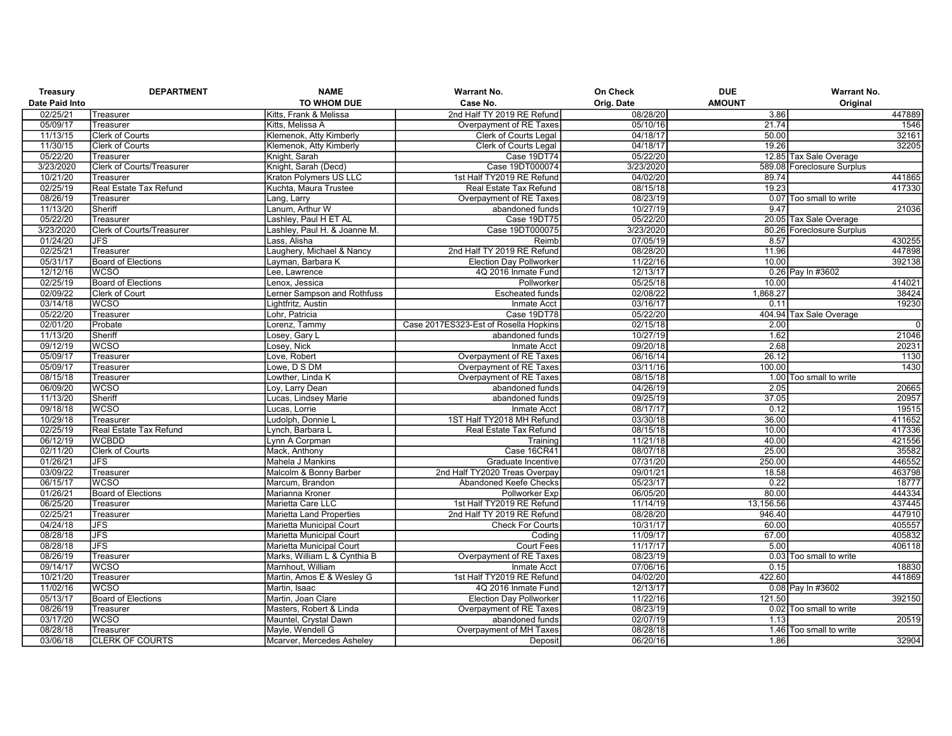| Treasury              | <b>DEPARTMENT</b>         | <b>NAME</b>                     | <b>Warrant No.</b>                    | On Check   | <b>DUE</b>    | <b>Warrant No.</b>         |
|-----------------------|---------------------------|---------------------------------|---------------------------------------|------------|---------------|----------------------------|
| <b>Date Paid Into</b> |                           | TO WHOM DUE                     | Case No.                              | Orig. Date | <b>AMOUNT</b> | Original                   |
| 02/25/21              | Treasurer                 | Kitts, Frank & Melissa          | 2nd Half TY 2019 RE Refund            | 08/28/20   | 3.86          | 447889                     |
| 05/09/17              | Treasurer                 | Kitts, Melissa A                | Overpayment of RE Taxes               | 05/10/16   | 21.74         | 1546                       |
| 11/13/15              | <b>Clerk of Courts</b>    | Klemenok, Atty Kimberly         | <b>Clerk of Courts Legal</b>          | 04/18/17   | 50.00         | 32161                      |
| 11/30/15              | <b>Clerk of Courts</b>    | Klemenok, Atty Kimberly         | Clerk of Courts Legal                 | 04/18/17   | 19.26         | 32205                      |
| 05/22/20              | Treasurer                 | Knight, Sarah                   | Case 19DT74                           | 05/22/20   |               | 12.85 Tax Sale Overage     |
| 3/23/2020             | Clerk of Courts/Treasurer | Knight, Sarah (Decd)            | Case 19DT000074                       | 3/23/2020  |               | 589.08 Foreclosure Surplus |
| 10/21/20              | Treasurer                 | Kraton Polymers US LLC          | 1st Half TY2019 RE Refund             | 04/02/20   | 89.74         | 441865                     |
| 02/25/19              | Real Estate Tax Refund    | Kuchta, Maura Trustee           | Real Estate Tax Refund                | 08/15/18   | 19.23         | 417330                     |
| 08/26/19              | Treasurer                 | Lang, Larry                     | Overpayment of RE Taxes               | 08/23/19   |               | 0.07 Too small to write    |
| 11/13/20              | Sheriff                   | Lanum, Arthur W                 | abandoned funds                       | 10/27/19   | 9.47          | 21036                      |
| 05/22/20              | Treasurer                 | Lashley, Paul H ET AL           | Case 19DT75                           | 05/22/20   |               | 20.05 Tax Sale Overage     |
| 3/23/2020             | Clerk of Courts/Treasurer | Lashley, Paul H. & Joanne M.    | Case 19DT000075                       | 3/23/2020  |               | 80.26 Foreclosure Surplus  |
| 01/24/20              | <b>JFS</b>                | Lass, Alisha                    | Reimb                                 | 07/05/19   | 8.57          | 430255                     |
| 02/25/21              | Treasurer                 | Laughery, Michael & Nancy       | 2nd Half TY 2019 RE Refund            | 08/28/20   | 11.96         | 447898                     |
| 05/31/17              | Board of Elections        | Layman, Barbara K               | <b>Election Day Pollworker</b>        | 11/22/16   | 10.00         | 392138                     |
| 12/12/16              | <b>WCSO</b>               | Lee. Lawrence                   | 4Q 2016 Inmate Fund                   | 12/13/17   |               | 0.26 Pay In #3602          |
| 02/25/19              | <b>Board of Elections</b> | Lenox, Jessica                  | Pollworker                            | 05/25/18   | 10.00         | 414021                     |
| 02/09/22              | Clerk of Court            | Lerner Sampson and Rothfuss     | <b>Escheated funds</b>                | 02/08/22   | 1,868.27      | 38424                      |
| 03/14/18              | <b>WCSO</b>               | Lightfritz, Austin              | Inmate Acct                           | 03/16/17   | 0.11          | 19230                      |
| 05/22/20              | Treasurer                 | Lohr, Patricia                  | Case 19DT78                           | 05/22/20   |               | 404.94 Tax Sale Overage    |
| 02/01/20              | Probate                   | Lorenz. Tammy                   | Case 2017ES323-Est of Rosella Hopkins | 02/15/18   | 2.00          | $\overline{0}$             |
| 11/13/20              | Sheriff                   | Losey, Gary L                   | abandoned funds                       | 10/27/19   | 1.62          | 21046                      |
| 09/12/19              | <b>WCSO</b>               | Losey, Nick                     | <b>Inmate Acct</b>                    | 09/20/18   | 2.68          | 20231                      |
| 05/09/17              | Treasurer                 | Love, Robert                    | Overpayment of RE Taxes               | 06/16/14   | 26.12         | 1130                       |
| 05/09/17              | Treasurer                 | Lowe, D S DM                    | Overpayment of RE Taxes               | 03/11/16   | 100.00        | 1430                       |
| 08/15/18              | Treasurer                 | Lowther, Linda K                | Overpayment of RE Taxes               | 08/15/18   |               | 1.00 Too small to write    |
| 06/09/20              | <b>WCSO</b>               | Loy, Larry Dean                 | abandoned funds                       | 04/26/19   | 2.05          | 20665                      |
| 11/13/20              | Sheriff                   | Lucas, Lindsey Marie            | abandoned funds                       | 09/25/19   | 37.05         | 20957                      |
| 09/18/18              | <b>WCSO</b>               | Lucas, Lorrie                   | Inmate Acct                           | 08/17/17   | 0.12          | 19515                      |
| 10/29/18              | Treasurer                 | Ludolph, Donnie L               | 1ST Half TY2018 MH Refund             | 03/30/18   | 36.00         | 411652                     |
| 02/25/19              | Real Estate Tax Refund    | Lynch, Barbara L                | Real Estate Tax Refund                | 08/15/18   | 10.00         | 417336                     |
| 06/12/19              | <b>WCBDD</b>              | Lynn A Corpman                  | Training                              | 11/21/18   | 40.00         | 421556                     |
| 02/11/20              | <b>Clerk of Courts</b>    | Mack, Anthony                   | Case 16CR41                           | 08/07/18   | 25.00         | 35582                      |
| 01/26/21              | JFS                       | Mahela J Mankins                | Graduate Incentive                    | 07/31/20   | 250.00        | 446552                     |
| 03/09/22              | Treasurer                 | Malcolm & Bonny Barber          | 2nd Half TY2020 Treas Overpay         | 09/01/21   | 18.58         | 463798                     |
| 06/15/17              | <b>WCSO</b>               | Marcum, Brandon                 | Abandoned Keefe Checks                | 05/23/17   | 0.22          | 18777                      |
| 01/26/21              | <b>Board of Elections</b> | Marianna Kroner                 | Pollworker Exp                        | 06/05/20   | 80.00         | 444334                     |
| 06/25/20              | Treasurer                 | Marietta Care LLC               | 1st Half TY2019 RE Refund             | 11/14/19   | 13,156.56     | 437445                     |
| 02/25/21              | Treasurer                 | <b>Marietta Land Properties</b> | 2nd Half TY 2019 RE Refund            | 08/28/20   | 946.40        | 447910                     |
| 04/24/18              | $\overline{\mathsf{JFS}}$ | Marietta Municipal Court        | <b>Check For Courts</b>               | 10/31/17   | 60.00         | 405557                     |
| 08/28/18              | <b>JFS</b>                | Marietta Municipal Court        | Coding                                | 11/09/17   | 67.00         | 405832                     |
| 08/28/18              | $\overline{\mathsf{JFS}}$ | Marietta Municipal Court        | <b>Court Fees</b>                     | 11/17/17   | 5.00          | 406118                     |
| 08/26/19              | Treasurer                 | Marks, William L & Cynthia B    | Overpayment of RE Taxes               | 08/23/19   |               | 0.03 Too small to write    |
| 09/14/17              | <b>WCSO</b>               | Marnhout, William               | Inmate Acct                           | 07/06/16   | 0.15          | 18830                      |
| 10/21/20              | Treasurer                 | Martin, Amos E & Wesley G       | 1st Half TY2019 RE Refund             | 04/02/20   | 422.60        | 441869                     |
| 11/02/16              | <b>WCSO</b>               | Martin, Isaac                   | 4Q 2016 Inmate Fund                   | 12/13/17   |               | 0.08 Pay In #3602          |
| 05/13/17              | Board of Elections        | Martin, Joan Clare              | <b>Election Day Pollworker</b>        | 11/22/16   | 121.50        | 392150                     |
| 08/26/19              | Treasurer                 | Masters, Robert & Linda         | Overpayment of RE Taxes               | 08/23/19   |               | 0.02 Too small to write    |
| 03/17/20              | <b>WCSO</b>               | Mauntel, Crystal Dawn           | abandoned funds                       | 02/07/19   | 1.13          | 20519                      |
| 08/28/18              | Treasurer                 | Mayle, Wendell G                | Overpayment of MH Taxes               | 08/28/18   |               | 1.46 Too small to write    |
| 03/06/18              | <b>CLERK OF COURTS</b>    | Mcarver, Mercedes Ashelev       | Deposit                               | 06/20/16   | 1.86          | 32904                      |
|                       |                           |                                 |                                       |            |               |                            |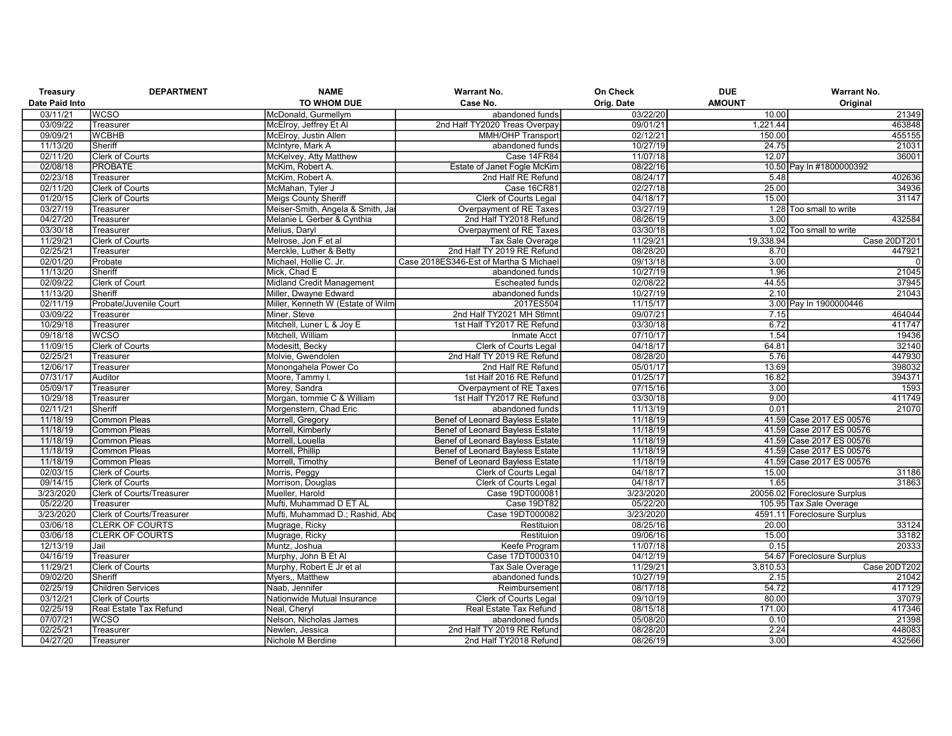| Treasury       | <b>DEPARTMENT</b>                | <b>NAME</b>                       | <b>Warrant No.</b>                     | On Check   | <b>DUE</b>    | <b>Warrant No.</b>           |
|----------------|----------------------------------|-----------------------------------|----------------------------------------|------------|---------------|------------------------------|
| Date Paid Into |                                  | TO WHOM DUE                       | Case No.                               | Orig. Date | <b>AMOUNT</b> | Original                     |
| 03/11/21       | <b>WCSO</b>                      | McDonald, Gurmellym               | abandoned funds                        | 03/22/20   | 10.00         | 21349                        |
| 03/09/22       | Treasurer                        | McElroy, Jeffrey Et Al            | 2nd Half TY2020 Treas Overpay          | 09/01/21   | 1,221.44      | 463848                       |
| 09/09/21       | <b>WCBHB</b>                     | McElroy, Justin Allen             | <b>MMH/OHP Transport</b>               | 02/12/21   | 150.00        | 455155                       |
| 11/13/20       | Sheriff                          | McIntyre, Mark A                  | abandoned funds                        | 10/27/19   | 24.75         | 21031                        |
| 02/11/20       | <b>Clerk of Courts</b>           | McKelvey, Atty Matthew            | Case 14FR84                            | 11/07/18   | 12.07         | 36001                        |
| 02/08/18       | <b>PROBATE</b>                   | McKim, Robert A.                  | <b>Estate of Janet Fogle McKim</b>     | 08/22/16   |               | 10.50 Pay In #1800000392     |
| 02/23/18       | Treasurer                        | McKim, Robert A.                  | 2nd Half RE Refund                     | 08/24/17   | 5.48          | 402636                       |
| 02/11/20       | <b>Clerk of Courts</b>           | McMahan, Tyler J                  | Case 16CR81                            | 02/27/18   | 25.00         | 34936                        |
| 01/20/15       | Clerk of Courts                  | <b>Meigs County Sheriff</b>       | Clerk of Courts Legal                  | 04/18/17   | 15.00         | 31147                        |
| 03/27/19       | Treasurer                        | Meiser-Smith, Angela & Smith, Jar | Overpayment of RE Taxes                | 03/27/19   |               | 1.28 Too small to write      |
| 04/27/20       | Treasurer                        | Melanie L Gerber & Cynthia        | 2nd Half TY2018 Refund                 | 08/26/19   | 3.00          | 432584                       |
| 03/30/18       | Treasurer                        | Melius, Daryl                     | Overpayment of RE Taxes                | 03/30/18   |               | 1.02 Too small to write      |
| 11/29/21       | Clerk of Courts                  | Melrose, Jon F et al              | Tax Sale Overage                       | 11/29/21   | 19,338.94     | Case 20DT201                 |
| 02/25/21       | Treasurer                        | Merckle, Luther & Betty           | 2nd Half TY 2019 RE Refund             | 08/28/20   | 8.70          | 447921                       |
| 02/01/20       | Probate                          | Michael, Hollie C. Jr.            | Case 2018ES346-Est of Martha S Michael | 09/13/18   | 3.00          | $\overline{0}$               |
| 11/13/20       | Sheriff                          | Mick, Chad E                      | abandoned funds                        | 10/27/19   | 1.96          | 21045                        |
| 02/09/22       | <b>Clerk of Court</b>            | Midland Credit Management         | <b>Escheated funds</b>                 | 02/08/22   | 44.55         | 37945                        |
| 11/13/20       | Sheriff                          | Miller, Dwayne Edward             | abandoned funds                        | 10/27/19   | 2.10          | 21043                        |
| 02/11/19       | Probate/Juvenile Court           | Miller, Kenneth W (Estate of Wilm | 2017ES504                              | 11/15/17   |               | 3.00 Pay In 1900000446       |
| 03/09/22       | Treasurer                        | Miner, Steve                      | 2nd Half TY2021 MH Stlmnt              | 09/07/21   | 7.15          | 464044                       |
| 10/29/18       | Treasurer                        | Mitchell, Luner L & Joy E         | 1st Half TY2017 RE Refund              | 03/30/18   | 6.72          | 411747                       |
| 09/18/18       | <b>WCSO</b>                      | Mitchell, William                 | Inmate Acct                            | 07/10/17   | 1.54          | 19436                        |
| 11/09/15       | Clerk of Courts                  | Modesitt, Becky                   | <b>Clerk of Courts Legal</b>           | 04/18/17   | 64.81         | 32140                        |
| 02/25/21       | Treasurer                        | Molvie, Gwendolen                 | 2nd Half TY 2019 RE Refund             | 08/28/20   | 5.76          | 447930                       |
| 12/06/17       | Treasurer                        | Monongahela Power Co              | 2nd Half RE Refund                     | 05/01/17   | 13.69         | 398032                       |
| 07/31/17       | Auditor                          | Moore, Tammy I                    | 1st Half 2016 RE Refund                | 01/25/17   | 16.82         | 394371                       |
| 05/09/17       | Treasurer                        | Morey, Sandra                     | Overpayment of RE Taxes                | 07/15/16   | 3.00          | 1593                         |
| 10/29/18       | Treasurer                        | Morgan, tommie C & William        | 1st Half TY2017 RE Refund              | 03/30/18   | 9.00          | 411749                       |
| 02/11/21       | Sheriff                          | Morgenstern, Chad Eric            | abandoned funds                        | 11/13/19   | 0.01          | 21070                        |
| 11/18/19       | <b>Common Pleas</b>              | Morrell, Gregory                  | Benef of Leonard Bayless Estate        | 11/18/19   |               | 41.59 Case 2017 ES 00576     |
| 11/18/19       | <b>Common Pleas</b>              | Morrell, Kimberly                 | <b>Benef of Leonard Bayless Estate</b> | 11/18/19   |               | 41.59 Case 2017 ES 00576     |
| 11/18/19       | <b>Common Pleas</b>              | Morrell, Louella                  | Benef of Leonard Bayless Estate        | 11/18/19   |               | 41.59 Case 2017 ES 00576     |
| 11/18/19       | <b>Common Pleas</b>              | Morrell, Phillip                  | Benef of Leonard Bayless Estate        | 11/18/19   |               | 41.59 Case 2017 ES 00576     |
| 11/18/19       | <b>Common Pleas</b>              | Morrell, Timothy                  | <b>Benef of Leonard Bayless Estate</b> | 11/18/19   |               | 41.59 Case 2017 ES 00576     |
| 02/03/15       | <b>Clerk of Courts</b>           | Morris, Peggy                     | Clerk of Courts Legal                  | 04/18/17   | 15.00         | 31186                        |
| 09/14/15       | <b>Clerk of Courts</b>           | Morrison, Douglas                 | Clerk of Courts Legal                  | 04/18/17   | 1.65          | 31863                        |
| 3/23/2020      | <b>Clerk of Courts/Treasurer</b> | Mueller, Harold                   | Case 19DT000081                        | 3/23/2020  |               | 20056.02 Foreclosure Surplus |
| 05/22/20       | Treasurer                        | Mufti, Muhammad D ET AL           | Case 19DT82                            | 05/22/20   |               | 105.95 Tax Sale Overage      |
| 3/23/2020      | <b>Clerk of Courts/Treasurer</b> | Mufti, Muhammad D.; Rashid, Abo   | Case 19DT000082                        | 3/23/2020  |               | 4591.11 Foreclosure Surplus  |
| 03/06/18       | <b>CLERK OF COURTS</b>           | Mugrage, Ricky                    | Restituion                             | 08/25/16   | 20.00         | 33124                        |
| 03/06/18       | <b>CLERK OF COURTS</b>           | Mugrage, Ricky                    | Restituion                             | 09/06/16   | 15.00         | 33182                        |
| 12/13/19       | Jail                             | Muntz, Joshua                     | Keefe Program                          | 11/07/18   | 0.15          | 20333                        |
| 04/16/19       | Treasurer                        | Murphy, John B Et Al              | Case 17DT000310                        | 04/12/19   |               | 54.67 Foreclosure Surplus    |
| 11/29/21       | <b>Clerk of Courts</b>           | Murphy, Robert E Jr et al         | Tax Sale Overage                       | 11/29/21   | 3,810.53      | Case 20DT202                 |
| 09/02/20       | Sheriff                          | Myers,, Matthew                   | abandoned funds                        | 10/27/19   | 2.15          | 21042                        |
| 02/25/19       | <b>Children Services</b>         | Naab, Jennifer                    | Reimbursement                          | 08/17/18   | 54.72         | 417129                       |
| 03/12/21       | Clerk of Courts                  | Nationwide Mutual Insurance       | <b>Clerk of Courts Legal</b>           | 09/10/19   | 80.00         | 37079                        |
| 02/25/19       | Real Estate Tax Refund           | Neal, Cheryl                      | Real Estate Tax Refund                 | 08/15/18   | 171.00        | 417346                       |
| 07/07/21       | <b>WCSO</b>                      | Nelson, Nicholas James            | abandoned funds                        | 05/08/20   | 0.10          | 21398                        |
| 02/25/21       | Treasurer                        | Newlen, Jessica                   | 2nd Half TY 2019 RE Refund             | 08/28/20   | 2.24          | 448083                       |
| 04/27/20       | Treasurer                        | Nichole M Berdine                 | 2nd Half TY2018 Refund                 | 08/26/19   | 3.00          | 432566                       |
|                |                                  |                                   |                                        |            |               |                              |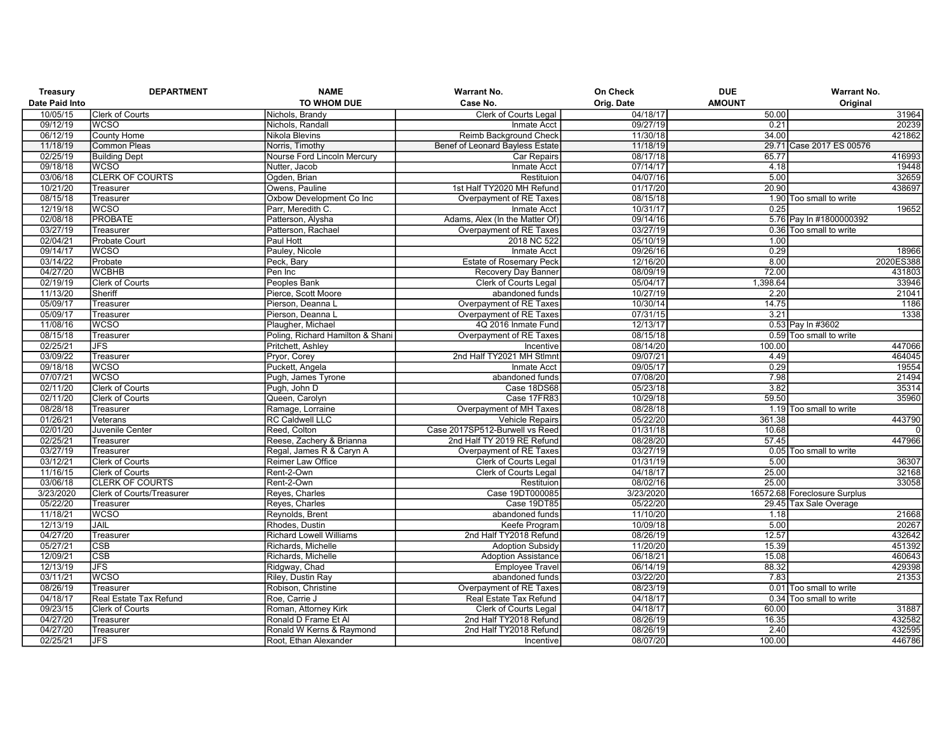| Treasury              | <b>DEPARTMENT</b>                                          | <b>NAME</b>                      | <b>Warrant No.</b>              | On Check   | <b>DUE</b>    | <b>Warrant No.</b>           |
|-----------------------|------------------------------------------------------------|----------------------------------|---------------------------------|------------|---------------|------------------------------|
| <b>Date Paid Into</b> |                                                            | TO WHOM DUE                      | Case No.                        | Orig. Date | <b>AMOUNT</b> | Original                     |
| 10/05/15              | <b>Clerk of Courts</b>                                     | Nichols, Brandy                  | <b>Clerk of Courts Legal</b>    | 04/18/17   | 50.00         | 31964                        |
| 09/12/19              | <b>WCSO</b>                                                | Nichols, Randall                 | Inmate Acct                     | 09/27/19   | 0.21          | 20239                        |
| 06/12/19              | County Home                                                | Nikola Blevins                   | Reimb Background Check          | 11/30/18   | 34.00         | 421862                       |
| 11/18/19              | <b>Common Pleas</b>                                        | Norris, Timothy                  | Benef of Leonard Bayless Estate | 11/18/19   |               | 29.71 Case 2017 ES 00576     |
| 02/25/19              | <b>Building Dept</b>                                       | Nourse Ford Lincoln Mercury      | <b>Car Repairs</b>              | 08/17/18   | 65.77         | 416993                       |
| 09/18/18              | <b>WCSO</b>                                                | Nutter, Jacob                    | <b>Inmate Acct</b>              | 07/14/17   | 4.18          | 19448                        |
| 03/06/18              | <b>CLERK OF COURTS</b>                                     | Ogden, Brian                     | Restituion                      | 04/07/16   | 5.00          | 32659                        |
| 10/21/20              | Treasurer                                                  | Owens, Pauline                   | 1st Half TY2020 MH Refund       | 01/17/20   | 20.90         | 438697                       |
| 08/15/18              | Treasurer                                                  | Oxbow Development Co Inc         | Overpayment of RE Taxes         | 08/15/18   |               | 1.90 Too small to write      |
| 12/19/18              | <b>WCSO</b>                                                | Parr, Meredith C.                | Inmate Acct                     | 10/31/17   | 0.25          | 19652                        |
| 02/08/18              | <b>PROBATE</b>                                             | Patterson, Alysha                | Adams, Alex (In the Matter Of)  | 09/14/16   |               | 5.76 Pay In #1800000392      |
| 03/27/19              | Treasurer                                                  | Patterson, Rachael               | Overpayment of RE Taxes         | 03/27/19   |               | 0.36 Too small to write      |
| 02/04/21              | <b>Probate Court</b>                                       | Paul Hott                        | 2018 NC 522                     | 05/10/19   | 1.00          |                              |
| 09/14/17              | <b>WCSO</b>                                                | Pauley, Nicole                   | <b>Inmate Acct</b>              | 09/26/16   | 0.29          | 18966                        |
| 03/14/22              | Probate                                                    | Peck, Bary                       | <b>Estate of Rosemary Peck</b>  | 12/16/20   | 8.00          | 2020ES388                    |
| 04/27/20              | <b>WCBHB</b>                                               | Pen Inc                          | <b>Recovery Day Banner</b>      | 08/09/19   | 72.00         | 431803                       |
| 02/19/19              | <b>Clerk of Courts</b>                                     | Peoples Bank                     | Clerk of Courts Legal           | 05/04/17   | 1,398.64      | 33946                        |
| 11/13/20              | Sheriff                                                    | Pierce, Scott Moore              | abandoned funds                 | 10/27/19   | 2.20          | 21041                        |
| 05/09/17              | Treasurer                                                  | Pierson, Deanna L                | Overpayment of RE Taxes         | 10/30/14   | 14.75         | 1186                         |
| 05/09/17              | Treasurer                                                  | Pierson, Deanna L                | Overpayment of RE Taxes         | 07/31/15   | 3.21          | 1338                         |
| 11/08/16              | <b>WCSO</b>                                                | Plaugher, Michael                | 4Q 2016 Inmate Fund             | 12/13/17   |               | 0.53 Pay In #3602            |
| 08/15/18              | Treasurer                                                  | Poling, Richard Hamilton & Shani | Overpayment of RE Taxes         | 08/15/18   |               | 0.59 Too small to write      |
| 02/25/21              | JFS                                                        | Pritchett, Ashley                | Incentive                       | 08/14/20   | 100.00        | 447066                       |
| 03/09/22              | Treasurer                                                  | Pryor, Corey                     | 2nd Half TY2021 MH Stlmnt       | 09/07/21   | 4.49          | 464045                       |
| 09/18/18              | <b>WCSO</b>                                                | Puckett, Angela                  | Inmate Acct                     | 09/05/17   | 0.29          | 19554                        |
| 07/07/21              | <b>WCSO</b>                                                | Pugh, James Tyrone               | abandoned funds                 | 07/08/20   | 7.98          | 21494                        |
| 02/11/20              | <b>Clerk of Courts</b>                                     | Pugh, John D                     | Case 18DS68                     | 05/23/18   | 3.82          | 35314                        |
| 02/11/20              | Clerk of Courts                                            | Queen, Carolyn                   | Case 17FR83                     | 10/29/18   | 59.50         | 35960                        |
| 08/28/18              | Treasurer                                                  | Ramage, Lorraine                 | Overpayment of MH Taxes         | 08/28/18   |               | 1.19 Too small to write      |
| 01/26/21              | Veterans                                                   | RC Caldwell LLC                  | <b>Vehicle Repairs</b>          | 05/22/20   | 361.38        | 443790                       |
| 02/01/20              | Juvenile Center                                            | Reed, Colton                     | Case 2017SP512-Burwell vs Reed  | 01/31/18   | 10.68         | $\overline{0}$               |
| 02/25/21              | Treasurer                                                  | Reese, Zachery & Brianna         | 2nd Half TY 2019 RE Refund      | 08/28/20   | 57.45         | 447966                       |
| 03/27/19              | Treasurer                                                  | Regal, James R & Caryn A         | Overpayment of RE Taxes         | 03/27/19   |               | 0.05 Too small to write      |
| 03/12/21              | <b>Clerk of Courts</b>                                     | <b>Reimer Law Office</b>         | Clerk of Courts Legal           | 01/31/19   | 5.00          | 36307                        |
| 11/16/15              | <b>Clerk of Courts</b>                                     | Rent-2-Own                       | Clerk of Courts Legal           | 04/18/17   | 25.00         | 32168                        |
|                       |                                                            |                                  | Restituion                      | 08/02/16   | 25.00         | 33058                        |
| 03/06/18<br>3/23/2020 | <b>CLERK OF COURTS</b><br><b>Clerk of Courts/Treasurer</b> | Rent-2-Own                       | Case 19DT000085                 | 3/23/2020  |               | 16572.68 Foreclosure Surplus |
|                       |                                                            | Reyes, Charles                   | Case 19DT85                     | 05/22/20   |               |                              |
| 05/22/20              | Treasurer                                                  | Reyes, Charles                   |                                 |            |               | 29.45 Tax Sale Overage       |
| 11/18/21              | <b>WCSO</b>                                                | Reynolds, Brent                  | abandoned funds                 | 11/10/20   | 1.18          | 21668                        |
| 12/13/19              | JAIL                                                       | Rhodes, Dustin                   | Keefe Program                   | 10/09/18   | 5.00          | 20267                        |
| 04/27/20              | Treasurer                                                  | <b>Richard Lowell Williams</b>   | 2nd Half TY2018 Refund          | 08/26/19   | 12.57         | 432642                       |
| 05/27/21              | <b>CSB</b>                                                 | Richards, Michelle               | <b>Adoption Subsidy</b>         | 11/20/20   | 15.39         | 451392                       |
| 12/09/21              | <b>CSB</b>                                                 | Richards, Michelle               | <b>Adoption Assistance</b>      | 06/18/21   | 15.08         | 460643                       |
| 12/13/19              | <b>JFS</b>                                                 | Ridgway, Chad                    | <b>Employee Travel</b>          | 06/14/19   | 88.32         | 429398                       |
| 03/11/21              | <b>WCSO</b>                                                | Riley, Dustin Ray                | abandoned funds                 | 03/22/20   | 7.83          | 21353                        |
| 08/26/19              | Treasurer                                                  | Robison, Christine               | Overpayment of RE Taxes         | 08/23/19   |               | 0.01 Too small to write      |
| 04/18/17              | Real Estate Tax Refund                                     | Roe, Carrie J                    | Real Estate Tax Refund          | 04/18/17   |               | 0.34 Too small to write      |
| 09/23/15              | <b>Clerk of Courts</b>                                     | Roman, Attorney Kirk             | Clerk of Courts Legal           | 04/18/17   | 60.00         | 31887                        |
| 04/27/20              | Treasurer                                                  | Ronald D Frame Et Al             | 2nd Half TY2018 Refund          | 08/26/19   | 16.35         | 432582                       |
| 04/27/20              | Treasurer                                                  | Ronald W Kerns & Raymond         | 2nd Half TY2018 Refund          | 08/26/19   | 2.40          | 432595                       |
| 02/25/21              | <b>JFS</b>                                                 | Root, Ethan Alexander            | Incentive                       | 08/07/20   | 100.00        | 446786                       |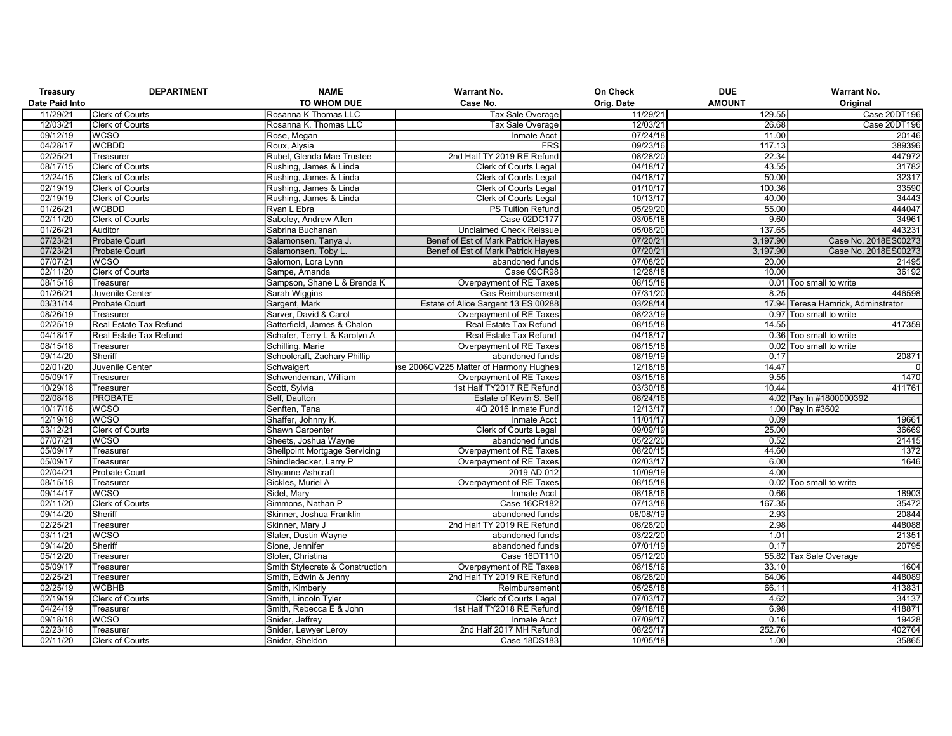| Treasury              | <b>DEPARTMENT</b>      | <b>NAME</b>                          | <b>Warrant No.</b>                     | On Check   | <b>DUE</b>    | <b>Warrant No.</b>                 |
|-----------------------|------------------------|--------------------------------------|----------------------------------------|------------|---------------|------------------------------------|
| <b>Date Paid Into</b> |                        | TO WHOM DUE                          | Case No.                               | Orig. Date | <b>AMOUNT</b> | Original                           |
| 11/29/21              | <b>Clerk of Courts</b> | Rosanna K Thomas LLC                 | Tax Sale Overage                       | 11/29/21   | 129.55        | Case 20DT196                       |
| 12/03/21              | Clerk of Courts        | Rosanna K. Thomas LLC                | Tax Sale Overage                       | 12/03/21   | 26.68         | Case 20DT196                       |
| 09/12/19              | <b>WCSO</b>            | Rose, Megan                          | <b>Inmate Acct</b>                     | 07/24/18   | 11.00         | 20146                              |
| 04/28/17              | <b>WCBDD</b>           | Roux, Alysia                         | <b>FRS</b>                             | 09/23/16   | 117.13        | 389396                             |
| 02/25/21              | Treasurer              | Rubel, Glenda Mae Trustee            | 2nd Half TY 2019 RE Refund             | 08/28/20   | 22.34         | 447972                             |
| 08/17/15              | <b>Clerk of Courts</b> | Rushing, James & Linda               | <b>Clerk of Courts Legal</b>           | 04/18/17   | 43.55         | 31782                              |
| 12/24/15              | <b>Clerk of Courts</b> | Rushing, James & Linda               | Clerk of Courts Legal                  | 04/18/17   | 50.00         | 32317                              |
| 02/19/19              | <b>Clerk of Courts</b> | Rushing, James & Linda               | <b>Clerk of Courts Legal</b>           | 01/10/17   | 100.36        | 33590                              |
| 02/19/19              | <b>Clerk of Courts</b> | Rushing, James & Linda               | Clerk of Courts Legal                  | 10/13/17   | 40.00         | 34443                              |
| 01/26/21              | <b>WCBDD</b>           | Ryan L Ebra                          | PS Tuition Refund                      | 05/29/20   | 55.00         | 444047                             |
| 02/11/20              | Clerk of Courts        | Saboley, Andrew Allen                | Case 02DC177                           | 03/05/18   | 9.60          | 34961                              |
| 01/26/21              | Auditor                | Sabrina Buchanan                     | <b>Unclaimed Check Reissue</b>         | 05/08/20   | 137.65        | 443231                             |
| 07/23/21              | <b>Probate Court</b>   | Salamonsen, Tanya J.                 | Benef of Est of Mark Patrick Hayes     | 07/20/21   | 3,197.90      | Case No. 2018ES00273               |
| 07/23/21              | <b>Probate Court</b>   | Salamonsen, Toby L.                  | Benef of Est of Mark Patrick Hayes     | 07/20/21   | 3,197.90      | Case No. 2018ES00273               |
| 07/07/21              | <b>WCSO</b>            | Salomon, Lora Lynn                   | abandoned funds                        | 07/08/20   | 20.00         | 21495                              |
| 02/11/20              | <b>Clerk of Courts</b> | Sampe, Amanda                        | Case 09CR98                            | 12/28/18   | 10.00         | 36192                              |
| 08/15/18              | Treasurer              | Sampson, Shane L & Brenda K          | Overpayment of RE Taxes                | 08/15/18   |               | 0.01 Too small to write            |
| 01/26/21              | Juvenile Center        | Sarah Wiggins                        | <b>Gas Reimbursement</b>               | 07/31/20   | 8.25          | 446598                             |
| 03/31/14              | <b>Probate Court</b>   | Sargent, Mark                        | Estate of Alice Sargent 13 ES 00288    | 03/28/14   |               | 17.94 Teresa Hamrick, Adminstrator |
| 08/26/19              | Treasurer              | Sarver, David & Carol                | Overpayment of RE Taxes                | 08/23/19   |               | 0.97 Too small to write            |
| 02/25/19              | Real Estate Tax Refund | Satterfield, James & Chalon          | Real Estate Tax Refund                 | 08/15/18   | 14.55         | 417359                             |
| 04/18/17              | Real Estate Tax Refund | Schafer, Terry L & Karolyn A         | Real Estate Tax Refund                 | 04/18/17   |               | 0.36 Too small to write            |
| 08/15/18              | Treasurer              | Schilling, Marie                     | Overpayment of RE Taxes                | 08/15/18   |               | 0.02 Too small to write            |
| 09/14/20              | Sheriff                | Schoolcraft, Zachary Phillip         | abandoned funds                        | 08/19/19   | 0.17          | 20871                              |
| 02/01/20              | Juvenile Center        | Schwaigert                           | ise 2006CV225 Matter of Harmony Hughes | 12/18/18   | 14.47         | $\overline{0}$                     |
| 05/09/17              | Treasurer              | Schwendeman, William                 | Overpayment of RE Taxes                | 03/15/16   | 9.55          | 1470                               |
| 10/29/18              | Treasurer              | Scott, Sylvia                        | 1st Half TY2017 RE Refund              | 03/30/18   | 10.44         | 411761                             |
| 02/08/18              | <b>PROBATE</b>         | Self, Daulton                        | Estate of Kevin S. Self                | 08/24/16   |               | 4.02 Pay In #1800000392            |
| 10/17/16              | <b>WCSO</b>            | Senften, Tana                        | 4Q 2016 Inmate Fund                    | 12/13/17   |               | 1.00 Pay In #3602                  |
| 12/19/18              | <b>WCSO</b>            | Shaffer, Johnny K.                   | Inmate Acct                            | 11/01/17   | 0.09          | 19661                              |
| 03/12/21              | Clerk of Courts        | Shawn Carpenter                      | Clerk of Courts Legal                  | 09/09/19   | 25.00         | 36669                              |
| 07/07/21              | <b>WCSO</b>            | Sheets, Joshua Wayne                 | abandoned funds                        | 05/22/20   | 0.52          | 21415                              |
| 05/09/17              | Treasurer              | <b>Shellpoint Mortgage Servicing</b> | Overpayment of RE Taxes                | 08/20/15   | 44.60         | 1372                               |
| 05/09/17              | Treasurer              | Shindledecker, Larry P               | Overpayment of RE Taxes                | 02/03/17   | 6.00          | 1646                               |
| 02/04/21              | Probate Court          | Shyanne Ashcraft                     | 2019 AD 012                            | 10/09/19   | 4.00          |                                    |
| 08/15/18              | Treasurer              | Sickles, Muriel A                    | Overpayment of RE Taxes                | 08/15/18   |               | 0.02 Too small to write            |
| 09/14/17              | <b>WCSO</b>            | Sidel, Mary                          | Inmate Acct                            | 08/18/16   | 0.66          | 18903                              |
| 02/11/20              | Clerk of Courts        | Simmons, Nathan P                    | <b>Case 16CR182</b>                    | 07/13/18   | 167.35        | 35472                              |
| 09/14/20              | Sheriff                | Skinner, Joshua Franklin             | abandoned funds                        | 08/08//19  | 2.93          | 20844                              |
| 02/25/21              | Treasurer              | Skinner, Mary J                      | 2nd Half TY 2019 RE Refund             | 08/28/20   | 2.98          | 448088                             |
| 03/11/21              | <b>WCSO</b>            | Slater, Dustin Wayne                 | abandoned funds                        | 03/22/20   | 1.01          | 21351                              |
| 09/14/20              | Sheriff                | Slone, Jennifer                      | abandoned funds                        | 07/01/19   | 0.17          | 20795                              |
| 05/12/20              | Treasurer              | Sloter, Christina                    | Case 16DT110                           | 05/12/20   |               | 55.82 Tax Sale Overage             |
| 05/09/17              | Treasurer              | Smith Stylecrete & Construction      | Overpayment of RE Taxes                | 08/15/16   | 33.10         | 1604                               |
| 02/25/21              | Treasurer              | Smith, Edwin & Jenny                 | 2nd Half TY 2019 RE Refund             | 08/28/20   | 64.06         | 448089                             |
| 02/25/19              | <b>WCBHB</b>           | Smith, Kimberly                      | Reimbursement                          | 05/25/18   | 66.11         | 413831                             |
| 02/19/19              | <b>Clerk of Courts</b> | Smith, Lincoln Tyler                 | <b>Clerk of Courts Legal</b>           | 07/03/17   | 4.62          | 34137                              |
| 04/24/19              | Treasurer              | Smith, Rebecca E & John              | 1st Half TY2018 RE Refund              | 09/18/18   | 6.98          | 418871                             |
| 09/18/18              | <b>WCSO</b>            | Snider, Jeffrey                      | Inmate Acct                            | 07/09/17   | 0.16          | 19428                              |
| 02/23/18              | Treasurer              | Snider, Lewyer Leroy                 | 2nd Half 2017 MH Refund                | 08/25/17   | 252.76        | 402764                             |
| 02/11/20              | <b>Clerk of Courts</b> | Snider, Sheldon                      | Case 18DS183                           | 10/05/18   | 1.00          | 35865                              |
|                       |                        |                                      |                                        |            |               |                                    |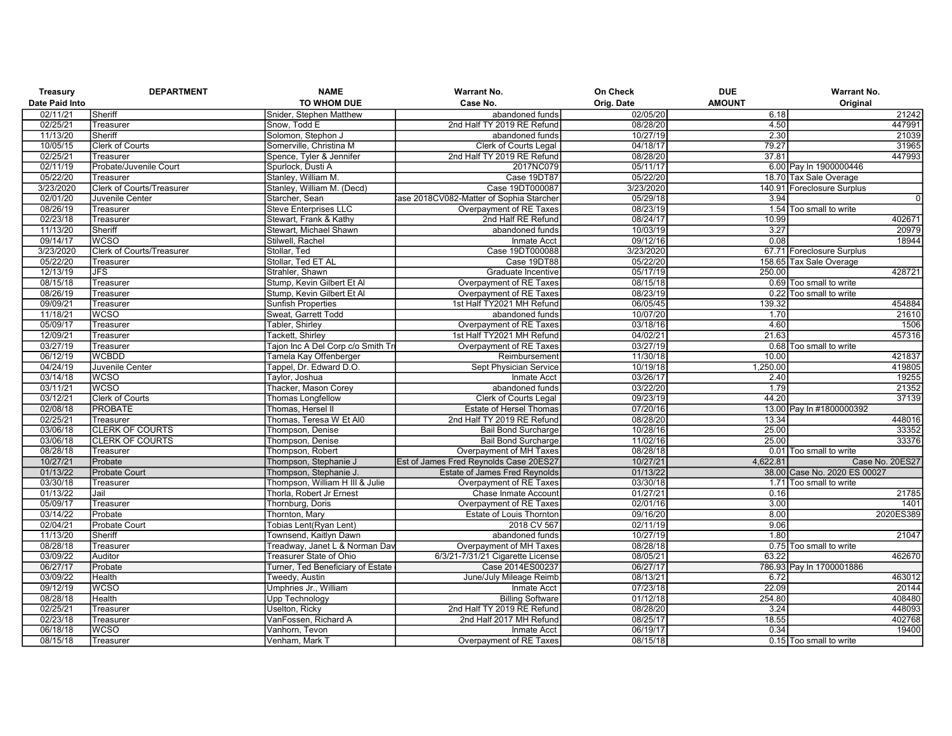| Treasury             | <b>DEPARTMENT</b>                | <b>NAME</b>                                    | <b>Warrant No.</b>                                    | On Check             | <b>DUE</b>    | Warrant No.                  |
|----------------------|----------------------------------|------------------------------------------------|-------------------------------------------------------|----------------------|---------------|------------------------------|
| Date Paid Into       |                                  | TO WHOM DUE                                    | Case No.                                              | Orig. Date           | <b>AMOUNT</b> | Original                     |
| 02/11/21             | Sheriff                          | Snider, Stephen Matthew                        | abandoned funds                                       | 02/05/20             | 6.18          | 21242                        |
| 02/25/21             | Treasurer                        | Snow, Todd E                                   | 2nd Half TY 2019 RE Refund                            | 08/28/20             | 4.50          | 447991                       |
| 11/13/20             | Sheriff                          | Solomon, Stephon J                             | abandoned funds                                       | 10/27/19             | 2.30          | 21039                        |
| 10/05/15             | Clerk of Courts                  | Somerville, Christina M                        | Clerk of Courts Legal                                 | 04/18/17             | 79.27         | 31965                        |
| 02/25/21             | Treasurer                        | Spence, Tyler & Jennifer                       | 2nd Half TY 2019 RE Refund                            | 08/28/20             | 37.81         | 447993                       |
| 02/11/19             | Probate/Juvenile Court           | Spurlock, Dusti A                              | 2017NC079                                             | 05/11/17             |               | 6.00 Pay In 1900000446       |
| 05/22/20             | Treasurer                        | Stanley, William M.                            | Case 19DT87                                           | 05/22/20             |               | 18.70 Tax Sale Overage       |
| 3/23/2020            | <b>Clerk of Courts/Treasurer</b> | Stanley, William M. (Decd)                     | Case 19DT000087                                       | 3/23/2020            |               | 140.91 Foreclosure Surplus   |
| 02/01/20             | Juvenile Center                  | Starcher, Sean                                 | ase 2018CV082-Matter of Sophia Starcher               | 05/29/18             | 3.94          | $\overline{0}$               |
| 08/26/19             | Treasurer                        | <b>Steve Enterprises LLC</b>                   | Overpayment of RE Taxes                               | 08/23/19             |               | 1.54 Too small to write      |
| 02/23/18             | Treasurer                        | Stewart, Frank & Kathy                         | 2nd Half RE Refund                                    | 08/24/17             | 10.99         | 402671                       |
| 11/13/20             | Sheriff                          | Stewart, Michael Shawn                         | abandoned funds                                       | 10/03/19             | 3.27          | 20979                        |
| 09/14/17             | <b>WCSO</b>                      | Stilwell, Rachel                               | Inmate Acct                                           | 09/12/16             | 0.08          | 18944                        |
| 3/23/2020            | <b>Clerk of Courts/Treasurer</b> | Stollar, Ted                                   | Case 19DT000088                                       | 3/23/2020            |               | 67.71 Foreclosure Surplus    |
| 05/22/20             | Treasurer                        | Stollar, Ted ET AL                             | Case 19DT88                                           | 05/22/20             |               | 158.65 Tax Sale Overage      |
| 12/13/19             | <b>JFS</b>                       | Strahler, Shawn                                | Graduate Incentive                                    | 05/17/19             | 250.00        | 428721                       |
| 08/15/18             | Treasurer                        | Stump, Kevin Gilbert Et Al                     | Overpayment of RE Taxes                               | 08/15/18             |               | 0.69 Too small to write      |
| 08/26/19             | Treasurer                        | Stump, Kevin Gilbert Et Al                     | Overpayment of RE Taxes                               | 08/23/19             |               | 0.22 Too small to write      |
| 09/09/21             | Treasurer                        | <b>Sunfish Properties</b>                      | 1st Half TY2021 MH Refund                             | 06/05/45             | 139.32        | 454884                       |
| 11/18/21             | <b>WCSO</b>                      | Sweat, Garrett Todd                            | abandoned funds                                       | 10/07/20             | 1.70          | 21610                        |
| 05/09/17             | Treasurer                        | Tabler, Shirley                                | Overpayment of RE Taxes                               | 03/18/16             | 4.60          | 1506                         |
| 12/09/21             | Treasurer                        | <b>Tackett, Shirley</b>                        | 1st Half TY2021 MH Refund                             | 04/02/21             | 21.63         | 457316                       |
| 03/27/19             | Treasurer                        | Tajon Inc A Del Corp c/o Smith Tro             | Overpayment of RE Taxes                               | 03/27/19             |               | 0.68 Too small to write      |
| 06/12/19             | <b>WCBDD</b>                     | Tamela Kay Offenberger                         | Reimbursement                                         | 11/30/18             | 10.00         | 421837                       |
| 04/24/19             | Juvenile Center                  | Tappel, Dr. Edward D.O.                        | <b>Sept Physician Service</b>                         | 10/19/18             | 1,250.00      | 419805                       |
| 03/14/18             | <b>WCSO</b>                      | Taylor, Joshua                                 | <b>Inmate Acct</b>                                    | 03/26/17             | 2.40          | 19255                        |
| 03/11/21             | <b>WCSO</b>                      | Thacker, Mason Corey                           | abandoned funds                                       | 03/22/20             | 1.79          | 21352                        |
| 03/12/21             | Clerk of Courts                  | Thomas Longfellow                              | <b>Clerk of Courts Legal</b>                          | 09/23/19             | 44.20         | 37139                        |
| 02/08/18             | <b>PROBATE</b>                   | Thomas, Hersel II                              | Estate of Hersel Thomas                               | 07/20/16             |               | 13.00 Pay In #1800000392     |
| 02/25/21             | Treasurer                        | Thomas, Teresa W Et Al0                        | 2nd Half TY 2019 RE Refund                            | 08/28/20             | 13.34         | 448016                       |
| 03/06/18             | <b>CLERK OF COURTS</b>           | Thompson, Denise                               | <b>Bail Bond Surcharge</b>                            | 10/28/16             | 25.00         | 33352                        |
| 03/06/18             | <b>CLERK OF COURTS</b>           | Thompson, Denise                               | <b>Bail Bond Surcharge</b>                            | 11/02/16             | 25.00         | 33376                        |
| 08/28/18             | Treasurer                        | Thompson, Robert                               | Overpayment of MH Taxes                               | 08/28/18             |               | 0.01 Too small to write      |
| 10/27/21             | Probate                          | Thompson, Stephanie J                          | Est of James Fred Reynolds Case 20ES27                | 10/27/21             | 4,622.81      | Case No. 20ES27              |
| 01/13/22             | <b>Probate Court</b>             | Thompson, Stephanie J.                         | <b>Estate of James Fred Reynolds</b>                  | 01/13/22             |               | 38.00 Case No. 2020 ES 00027 |
| 03/30/18             | Treasurer                        | Thompson, William H III & Julie                | Overpayment of RE Taxes                               | 03/30/18             |               | 1.71 Too small to write      |
| 01/13/22             | Jail                             | Thorla, Robert Jr Ernest                       | Chase Inmate Account                                  | 01/27/21             | 0.16          | 21785                        |
| 05/09/17             | Treasurer                        | Thornburg, Doris                               | Overpayment of RE Taxes                               | 02/01/16             | 3.00          | 1401                         |
| 03/14/22             | Probate                          | Thornton, Mary                                 | <b>Estate of Louis Thornton</b>                       | 09/16/20             | 8.00          | 2020ES389                    |
| 02/04/21             | <b>Probate Court</b>             | Tobias Lent(Ryan Lent)                         | 2018 CV 567                                           | 02/11/19             | 9.06          |                              |
| 11/13/20             | Sheriff                          | Townsend, Kaitlyn Dawn                         | abandoned funds                                       | 10/27/19             | 1.80          | 21047                        |
| 08/28/18             | Treasurer                        | Treadway, Janet L & Norman Dav                 | Overpayment of MH Taxes                               | 08/28/18             |               | 0.75 Too small to write      |
| 03/09/22             | Auditor                          | Treasurer State of Ohio                        | 6/3/21-7/31/21 Cigarette License                      | 08/05/21             | 63.22         | 462670                       |
| 06/27/17             | Probate                          | Turner, Ted Beneficiary of Estate              | Case 2014ES00237                                      | 06/27/17             |               | 786.93 Pay In 1700001886     |
| 03/09/22             | Health                           | Tweedy, Austin                                 | June/July Mileage Reimb                               | 08/13/21             | 6.72          | 463012                       |
|                      | <b>WCSO</b>                      |                                                |                                                       |                      | 22.09         | 20144                        |
| 09/12/19             |                                  | Umphries Jr., William                          | Inmate Acct                                           | 07/23/18             | 254.80        | 408480                       |
| 08/28/18<br>02/25/21 | Health                           | <b>Upp Technology</b><br><b>Uselton, Ricky</b> | <b>Billing Software</b><br>2nd Half TY 2019 RE Refund | 01/12/18<br>08/28/20 | 3.24          | 448093                       |
|                      | Treasurer                        |                                                |                                                       |                      |               |                              |
| 02/23/18             | Treasurer                        | VanFossen, Richard A                           | 2nd Half 2017 MH Refund                               | 08/25/17             | 18.55         | 402768                       |
| 06/18/18             | <b>WCSO</b>                      | Vanhorn, Tevon                                 | Inmate Acct                                           | 06/19/17             | 0.34          | 19400                        |
| 08/15/18             | Treasurer                        | Venham, Mark T                                 | Overpayment of RE Taxes                               | 08/15/18             |               | 0.15 Too small to write      |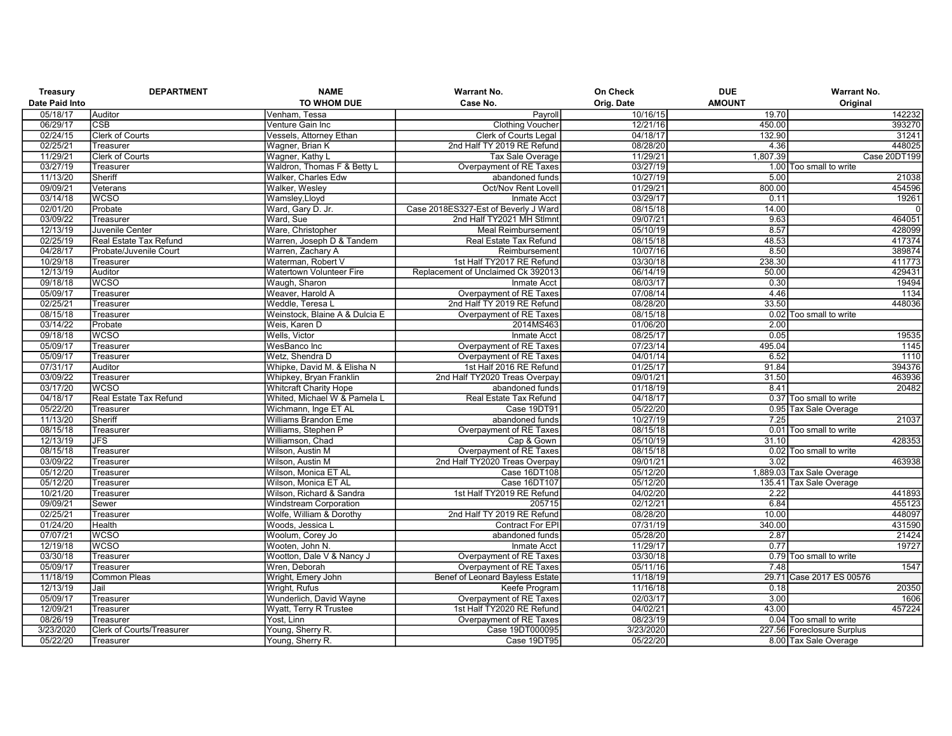| Treasury       | <b>DEPARTMENT</b>         | <b>NAME</b>                    | <b>Warrant No.</b>                     | On Check   | <b>DUE</b>    | Warrant No.                |
|----------------|---------------------------|--------------------------------|----------------------------------------|------------|---------------|----------------------------|
| Date Paid Into |                           | TO WHOM DUE                    | Case No.                               | Orig. Date | <b>AMOUNT</b> | Original                   |
| 05/18/17       | Auditor                   | Venham, Tessa                  | Payroll                                | 10/16/15   | 19.70         | 142232                     |
| 06/29/17       | <b>CSB</b>                | Venture Gain Inc               | <b>Clothing Voucher</b>                | 12/21/16   | 450.00        | 393270                     |
| 02/24/15       | <b>Clerk of Courts</b>    | Vessels, Attorney Ethan        | <b>Clerk of Courts Legal</b>           | 04/18/17   | 132.90        | 31241                      |
| 02/25/21       | Treasurer                 | Wagner, Brian K                | 2nd Half TY 2019 RE Refund             | 08/28/20   | 4.36          | 448025                     |
| 11/29/21       | Clerk of Courts           | Wagner, Kathy L                | Tax Sale Overage                       | 11/29/21   | 1,807.39      | Case 20DT199               |
| 03/27/19       | Treasurer                 | Waldron, Thomas F & Betty L    | Overpayment of RE Taxes                | 03/27/19   |               | 1.00 Too small to write    |
| 11/13/20       | Sheriff                   | Walker, Charles Edw            | abandoned funds                        | 10/27/19   | 5.00          | 21038                      |
| 09/09/21       | Veterans                  | <b>Walker, Wesley</b>          | <b>Oct/Nov Rent Lovell</b>             | 01/29/21   | 800.00        | 454596                     |
| 03/14/18       | <b>WCSO</b>               | Wamsley,Lloyd                  | Inmate Acct                            | 03/29/17   | 0.11          | 19261                      |
| 02/01/20       | Probate                   | Ward, Gary D. Jr.              | Case 2018ES327-Est of Beverly J Ward   | 08/15/18   | 14.00         | $\mathbf 0$                |
| 03/09/22       | Treasurer                 | Ward, Sue                      | 2nd Half TY2021 MH Stlmnt              | 09/07/21   | 9.63          | 464051                     |
| 12/13/19       | Juvenile Center           | Ware, Christopher              | <b>Meal Reimbursement</b>              | 05/10/19   | 8.57          | 428099                     |
| 02/25/19       | Real Estate Tax Refund    | Warren, Joseph D & Tandem      | Real Estate Tax Refund                 | 08/15/18   | 48.53         | 417374                     |
| 04/28/17       | Probate/Juvenile Court    | Warren, Zachary A              | Reimbursement                          | 10/07/16   | 8.50          | 389874                     |
| 10/29/18       | Treasurer                 | Waterman, Robert V             | 1st Half TY2017 RE Refund              | 03/30/18   | 238.30        | 411773                     |
| 12/13/19       | Auditor                   | Watertown Volunteer Fire       | Replacement of Unclaimed Ck 392013     | 06/14/19   | 50.00         | 429431                     |
| 09/18/18       | <b>WCSO</b>               | Waugh, Sharon                  | <b>Inmate Acct</b>                     | 08/03/17   | 0.30          | 19494                      |
| 05/09/17       | Treasurer                 | Weaver, Harold A               | Overpayment of RE Taxes                | 07/08/14   | 4.46          | 1134                       |
| 02/25/21       | Treasurer                 | Weddle, Teresa L               | 2nd Half TY 2019 RE Refund             | 08/28/20   | 33.50         | 448036                     |
| 08/15/18       | Treasurer                 | Weinstock, Blaine A & Dulcia E | Overpayment of RE Taxes                | 08/15/18   |               | 0.02 Too small to write    |
| 03/14/22       | Probate                   | Weis, Karen D                  | 2014MS463                              | 01/06/20   | 2.00          |                            |
| 09/18/18       | <b>WCSO</b>               | Wells, Victor                  | <b>Inmate Acct</b>                     | 08/25/17   | 0.05          | 19535                      |
| 05/09/17       | Treasurer                 | WesBanco Inc                   | Overpayment of RE Taxes                | 07/23/14   | 495.04        | 1145                       |
| 05/09/17       | Treasurer                 | Wetz, Shendra D                | Overpayment of RE Taxes                | 04/01/14   | 6.52          | 1110                       |
| 07/31/17       | Auditor                   | Whipke, David M. & Elisha N    | 1st Half 2016 RE Refund                | 01/25/17   | 91.84         | 394376                     |
| 03/09/22       | Treasurer                 | Whipkey, Bryan Franklin        | 2nd Half TY2020 Treas Overpay          | 09/01/21   | 31.50         | 463936                     |
| 03/17/20       | <b>WCSO</b>               | <b>Whitcraft Charity Hope</b>  | abandoned funds                        | 01/18/19   | 8.41          | 20482                      |
| 04/18/17       | Real Estate Tax Refund    | Whited, Michael W & Pamela L   | Real Estate Tax Refund                 | 04/18/17   |               | 0.37 Too small to write    |
| 05/22/20       | Treasurer                 | Wichmann, Inge ET AL           | Case 19DT91                            | 05/22/20   |               | 0.95 Tax Sale Overage      |
| 11/13/20       | Sheriff                   | Williams Brandon Eme           | abandoned funds                        | 10/27/19   | 7.25          | 21037                      |
| 08/15/18       | Treasurer                 | Williams, Stephen P            | Overpayment of RE Taxes                | 08/15/18   |               | 0.01 Too small to write    |
| 12/13/19       | <b>JFS</b>                | Williamson, Chad               | Cap & Gown                             | 05/10/19   | 31.10         | 428353                     |
| 08/15/18       | Treasurer                 | Wilson, Austin M               | Overpayment of RE Taxes                | 08/15/18   |               | 0.02 Too small to write    |
| 03/09/22       | Treasurer                 | Wilson, Austin M               | 2nd Half TY2020 Treas Overpay          | 09/01/21   | 3.02          | 463938                     |
| 05/12/20       | Treasurer                 | Wilson, Monica ET AL           | Case 16DT108                           | 05/12/20   |               | 1,889.03 Tax Sale Overage  |
| 05/12/20       | Treasurer                 | Wilson, Monica ET AL           | Case 16DT107                           | 05/12/20   |               | 135.41 Tax Sale Overage    |
| 10/21/20       | Treasurer                 | Wilson, Richard & Sandra       | 1st Half TY2019 RE Refund              | 04/02/20   | 2.22          | 441893                     |
| 09/09/21       | Sewer                     | <b>Windstream Corporation</b>  | 205715                                 | 02/12/21   | 6.84          | 455123                     |
| 02/25/21       | Treasurer                 | Wolfe, William & Dorothy       | 2nd Half TY 2019 RE Refund             | 08/28/20   | 10.00         | 448097                     |
| 01/24/20       | <b>Health</b>             | Woods, Jessica L               | Contract For EPI                       | 07/31/19   | 340.00        | 431590                     |
| 07/07/21       | <b>WCSO</b>               | Woolum, Corey Jo               | abandoned funds                        | 05/28/20   | 2.87          | 21424                      |
| 12/19/18       | <b>WCSO</b>               | Wooten, John N.                | <b>Inmate Acct</b>                     | 11/29/17   | 0.77          | 19727                      |
| 03/30/18       | Treasurer                 | Wootton, Dale V & Nancy J      | Overpayment of RE Taxes                | 03/30/18   |               | 0.79 Too small to write    |
| 05/09/17       | Treasurer                 | Wren, Deborah                  | Overpayment of RE Taxes                | 05/11/16   | 7.48          | 1547                       |
| 11/18/19       | <b>Common Pleas</b>       | Wright, Emery John             | <b>Benef of Leonard Bayless Estate</b> | 11/18/19   |               | 29.71 Case 2017 ES 00576   |
| 12/13/19       | Jail                      | Wright, Rufus                  | Keefe Program                          | 11/16/18   | 0.18          | 20350                      |
| 05/09/17       | Treasurer                 | Wunderlich, David Wayne        | Overpayment of RE Taxes                | 02/03/17   | 3.00          | 1606                       |
| 12/09/21       | Treasurer                 | Wyatt, Terry R Trustee         | 1st Half TY2020 RE Refund              | 04/02/21   | 43.00         | 457224                     |
| 08/26/19       | Treasurer                 | Yost, Linn                     | Overpayment of RE Taxes                | 08/23/19   |               | 0.04 Too small to write    |
| 3/23/2020      | Clerk of Courts/Treasurer | Young, Sherry R.               | Case 19DT000095                        | 3/23/2020  |               | 227.56 Foreclosure Surplus |
| 05/22/20       | Treasurer                 | Young, Sherry R.               | Case 19DT95                            | 05/22/20   |               | 8.00 Tax Sale Overage      |
|                |                           |                                |                                        |            |               |                            |